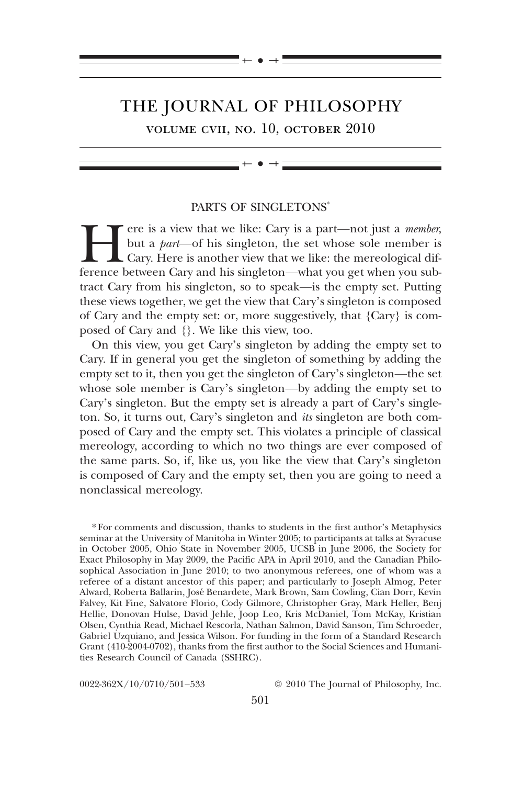# THE JOURNAL OF PHILOSOPHY

 $\bullet$   $-$ 

volume cvii, no. 10, october 2010

 $\bullet$   $-$ 

## PARTS OF SINGLETONS\*

For the is a view that we like: Cary is a part—not just a *member*,<br>but a *part*—of his singleton, the set whose sole member is<br>cary. Here is another view that we like: the mereological dif-<br>ference between Cary and his si but a part—of his singleton, the set whose sole member is Cary. Here is another view that we like: the mereological difference between Cary and his singleton—what you get when you subtract Cary from his singleton, so to speak—is the empty set. Putting these views together, we get the view that Cary's singleton is composed of Cary and the empty set: or, more suggestively, that {Cary} is composed of Cary and {}. We like this view, too.

On this view, you get Cary's singleton by adding the empty set to Cary. If in general you get the singleton of something by adding the empty set to it, then you get the singleton of Cary's singleton—the set whose sole member is Cary's singleton—by adding the empty set to Cary's singleton. But the empty set is already a part of Cary's singleton. So, it turns out, Cary's singleton and its singleton are both composed of Cary and the empty set. This violates a principle of classical mereology, according to which no two things are ever composed of the same parts. So, if, like us, you like the view that Cary's singleton is composed of Cary and the empty set, then you are going to need a nonclassical mereology.

\* For comments and discussion, thanks to students in the first author's Metaphysics seminar at the University of Manitoba in Winter 2005; to participants at talks at Syracuse in October 2005, Ohio State in November 2005, UCSB in June 2006, the Society for Exact Philosophy in May 2009, the Pacific APA in April 2010, and the Canadian Philosophical Association in June 2010; to two anonymous referees, one of whom was a referee of a distant ancestor of this paper; and particularly to Joseph Almog, Peter Alward, Roberta Ballarin, José Benardete, Mark Brown, Sam Cowling, Cian Dorr, Kevin Falvey, Kit Fine, Salvatore Florio, Cody Gilmore, Christopher Gray, Mark Heller, Benj Hellie, Donovan Hulse, David Jehle, Joop Leo, Kris McDaniel, Tom McKay, Kristian Olsen, Cynthia Read, Michael Rescorla, Nathan Salmon, David Sanson, Tim Schroeder, Gabriel Uzquiano, and Jessica Wilson. For funding in the form of a Standard Research Grant (410-2004-0702), thanks from the first author to the Social Sciences and Humanities Research Council of Canada (SSHRC).

 $0.022-362X/10/0710/501-533$   $\qquad \qquad \odot 2010$  The Journal of Philosophy, Inc.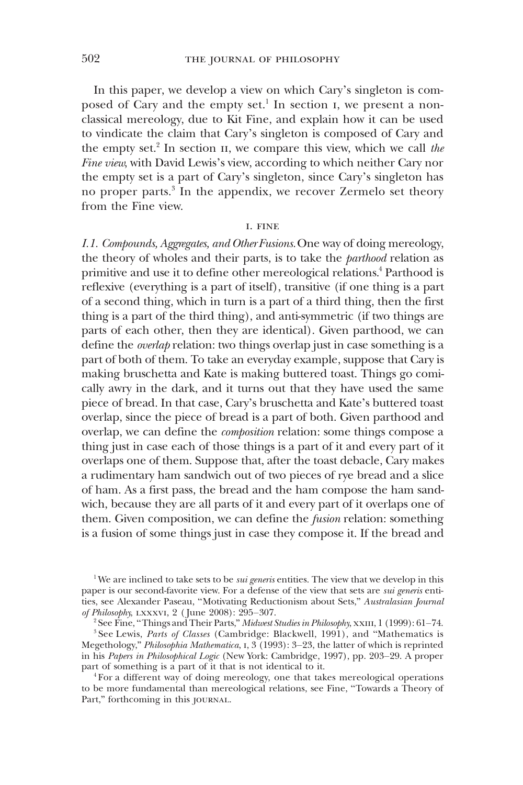In this paper, we develop a view on which Cary's singleton is composed of Cary and the empty set.<sup>1</sup> In section I, we present a nonclassical mereology, due to Kit Fine, and explain how it can be used to vindicate the claim that Cary's singleton is composed of Cary and the empty set.<sup>2</sup> In section II, we compare this view, which we call the Fine view, with David Lewis's view, according to which neither Cary nor the empty set is a part of Cary's singleton, since Cary's singleton has no proper parts.<sup>3</sup> In the appendix, we recover Zermelo set theory from the Fine view.

#### i. fine

I.1. Compounds, Aggregates, and Other Fusions.One way of doing mereology, the theory of wholes and their parts, is to take the parthood relation as primitive and use it to define other mereological relations.<sup>4</sup> Parthood is reflexive (everything is a part of itself), transitive (if one thing is a part of a second thing, which in turn is a part of a third thing, then the first thing is a part of the third thing), and anti-symmetric (if two things are parts of each other, then they are identical). Given parthood, we can define the overlap relation: two things overlap just in case something is a part of both of them. To take an everyday example, suppose that Cary is making bruschetta and Kate is making buttered toast. Things go comically awry in the dark, and it turns out that they have used the same piece of bread. In that case, Cary's bruschetta and Kate's buttered toast overlap, since the piece of bread is a part of both. Given parthood and overlap, we can define the composition relation: some things compose a thing just in case each of those things is a part of it and every part of it overlaps one of them. Suppose that, after the toast debacle, Cary makes a rudimentary ham sandwich out of two pieces of rye bread and a slice of ham. As a first pass, the bread and the ham compose the ham sandwich, because they are all parts of it and every part of it overlaps one of them. Given composition, we can define the *fusion* relation: something is a fusion of some things just in case they compose it. If the bread and

<sup>&</sup>lt;sup>1</sup>We are inclined to take sets to be *sui generis* entities. The view that we develop in this paper is our second-favorite view. For a defense of the view that sets are *sui generis* entities, see Alexander Paseau, "Motivating Reductionism about Sets," Australasian Journal of Philosophy, lxxxvi, 2 ( June 2008): 295–307.

<sup>&</sup>lt;sup>2</sup> See Fine, "Things and Their Parts," Midwest Studies in Philosophy, xxIII, 1 (1999): 61–74.

 $3$  See Lewis, Parts of Classes (Cambridge: Blackwell, 1991), and "Mathematics is Megethology," Philosophia Mathematica, 1, 3 (1993): 3-23, the latter of which is reprinted in his Papers in Philosophical Logic (New York: Cambridge, 1997), pp. 203–29. A proper part of something is a part of it that is not identical to it.

<sup>4</sup> For a different way of doing mereology, one that takes mereological operations to be more fundamental than mereological relations, see Fine, "Towards a Theory of Part," forthcoming in this journal.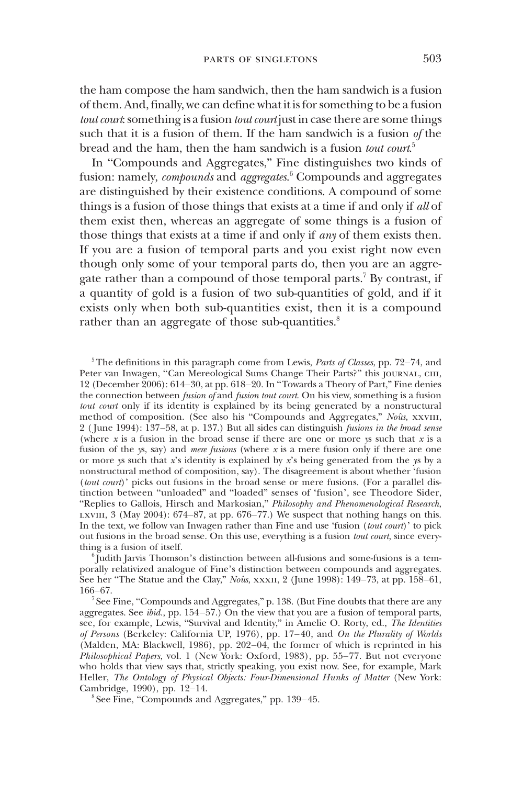the ham compose the ham sandwich, then the ham sandwich is a fusion of them. And, finally, we can define what it is for something to be a fusion tout court: something is a fusion tout court just in case there are some things such that it is a fusion of them. If the ham sandwich is a fusion of the bread and the ham, then the ham sandwich is a fusion  $\it{tout~count}^5$ 

In "Compounds and Aggregates," Fine distinguishes two kinds of fusion: namely,  $\emph{compounds}$  and  $\emph{aggregates}$ .  $\emph{Compounds}$  and aggregates are distinguished by their existence conditions. A compound of some things is a fusion of those things that exists at a time if and only if all of them exist then, whereas an aggregate of some things is a fusion of those things that exists at a time if and only if *any* of them exists then. If you are a fusion of temporal parts and you exist right now even though only some of your temporal parts do, then you are an aggregate rather than a compound of those temporal parts.<sup>7</sup> By contrast, if a quantity of gold is a fusion of two sub-quantities of gold, and if it exists only when both sub-quantities exist, then it is a compound rather than an aggregate of those sub-quantities. $8$ 

 $5$ The definitions in this paragraph come from Lewis, *Parts of Classes*, pp. 72–74, and Peter van Inwagen, "Can Mereological Sums Change Their Parts?" this journal, ciii, 12 (December 2006): 614–30, at pp. 618–20. In "Towards a Theory of Part," Fine denies the connection between *fusion of* and *fusion tout court*. On his view, something is a fusion tout court only if its identity is explained by its being generated by a nonstructural method of composition. (See also his "Compounds and Aggregates," Noûs, xxvIII, 2 ( June 1994): 137–58, at p. 137.) But all sides can distinguish fusions in the broad sense (where  $x$  is a fusion in the broad sense if there are one or more ys such that  $x$  is a fusion of the ys, say) and *mere fusions* (where x is a mere fusion only if there are one or more ys such that  $x$ 's identity is explained by  $x$ 's being generated from the ys by a nonstructural method of composition, say). The disagreement is about whether 'fusion (tout court)' picks out fusions in the broad sense or mere fusions. (For a parallel distinction between "unloaded" and "loaded" senses of 'fusion', see Theodore Sider, "Replies to Gallois, Hirsch and Markosian," Philosophy and Phenomenological Research, LXVIII,  $3 \text{ (May } 2004)$ :  $674-87$ , at pp.  $676-77$ .) We suspect that nothing hangs on this. In the text, we follow van Inwagen rather than Fine and use 'fusion (tout court)' to pick out fusions in the broad sense. On this use, everything is a fusion tout court, since everything is a fusion of itself.

 $\delta$  Judith Jarvis Thomson's distinction between all-fusions and some-fusions is a temporally relativized analogue of Fine's distinction between compounds and aggregates. See her "The Statue and the Clay," Noûs, xxxII, 2 (June 1998): 149-73, at pp. 158-61, 166–67.

 $7$  See Fine, "Compounds and Aggregates," p. 138. (But Fine doubts that there are any aggregates. See *ibid.*, pp.  $154-57$ .) On the view that you are a fusion of temporal parts, see, for example, Lewis, "Survival and Identity," in Amelie O. Rorty, ed., The Identities of Persons (Berkeley: California UP, 1976), pp. 17–40, and On the Plurality of Worlds (Malden, MA: Blackwell, 1986), pp. 202–04, the former of which is reprinted in his Philosophical Papers, vol. 1 (New York: Oxford, 1983), pp. 55–77. But not everyone who holds that view says that, strictly speaking, you exist now. See, for example, Mark Heller, The Ontology of Physical Objects: Four-Dimensional Hunks of Matter (New York: Cambridge, 1990), pp. 12–14.

<sup>8</sup> See Fine, "Compounds and Aggregates," pp. 139–45.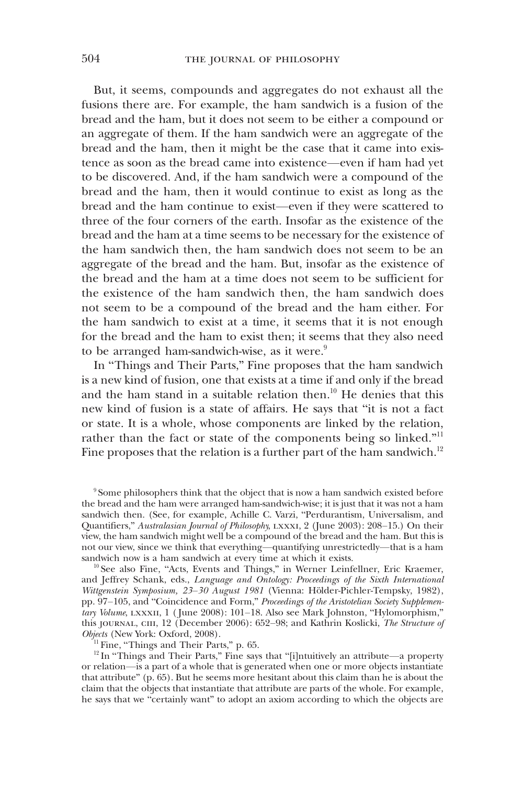But, it seems, compounds and aggregates do not exhaust all the fusions there are. For example, the ham sandwich is a fusion of the bread and the ham, but it does not seem to be either a compound or an aggregate of them. If the ham sandwich were an aggregate of the bread and the ham, then it might be the case that it came into existence as soon as the bread came into existence—even if ham had yet to be discovered. And, if the ham sandwich were a compound of the bread and the ham, then it would continue to exist as long as the bread and the ham continue to exist—even if they were scattered to three of the four corners of the earth. Insofar as the existence of the bread and the ham at a time seems to be necessary for the existence of the ham sandwich then, the ham sandwich does not seem to be an aggregate of the bread and the ham. But, insofar as the existence of the bread and the ham at a time does not seem to be sufficient for the existence of the ham sandwich then, the ham sandwich does not seem to be a compound of the bread and the ham either. For the ham sandwich to exist at a time, it seems that it is not enough for the bread and the ham to exist then; it seems that they also need to be arranged ham-sandwich-wise, as it were.<sup>9</sup>

In "Things and Their Parts," Fine proposes that the ham sandwich is a new kind of fusion, one that exists at a time if and only if the bread and the ham stand in a suitable relation then.<sup>10</sup> He denies that this new kind of fusion is a state of affairs. He says that "it is not a fact or state. It is a whole, whose components are linked by the relation, rather than the fact or state of the components being so linked."<sup>11</sup> Fine proposes that the relation is a further part of the ham sandwich.<sup>12</sup>

<sup>10</sup> See also Fine, "Acts, Events and Things," in Werner Leinfellner, Eric Kraemer, and Jeffrey Schank, eds., Language and Ontology: Proceedings of the Sixth International Wittgenstein Symposium, 23–30 August 1981 (Vienna: Hölder-Pichler-Tempsky, 1982), pp. 97–105, and "Coincidence and Form," Proceedings of the Aristotelian Society Supplementary Volume, LXXXII, 1 (June 2008): 101-18. Also see Mark Johnston, "Hylomorphism," this journal, ciii, 12 (December 2006): 652-98; and Kathrin Koslicki, The Structure of Objects (New York: Oxford, 2008).

 $11$  Fine, "Things and Their Parts," p. 65.

 $12$  In "Things and Their Parts," Fine says that "[i]ntuitively an attribute—a property or relation—is a part of a whole that is generated when one or more objects instantiate that attribute" (p. 65). But he seems more hesitant about this claim than he is about the claim that the objects that instantiate that attribute are parts of the whole. For example, he says that we "certainly want" to adopt an axiom according to which the objects are

<sup>&</sup>lt;sup>9</sup> Some philosophers think that the object that is now a ham sandwich existed before the bread and the ham were arranged ham-sandwich-wise; it is just that it was not a ham sandwich then. (See, for example, Achille C. Varzi, "Perdurantism, Universalism, and Quantifiers," Australasian Journal of Philosophy, lxxxi, 2 (June 2003): 208–15.) On their view, the ham sandwich might well be a compound of the bread and the ham. But this is not our view, since we think that everything—quantifying unrestrictedly—that is a ham sandwich now is a ham sandwich at every time at which it exists.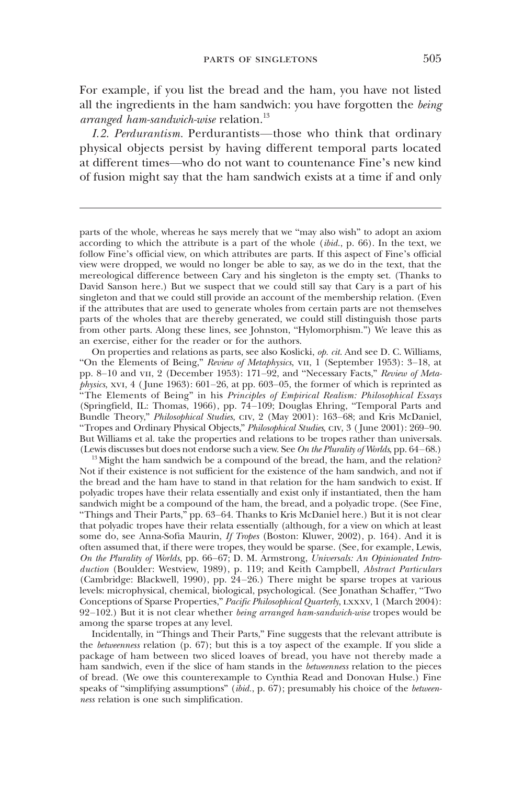For example, if you list the bread and the ham, you have not listed all the ingredients in the ham sandwich: you have forgotten the *being* arranged ham-sandwich-wise relation. $^{13}$ 

I.2. Perdurantism. Perdurantists—those who think that ordinary physical objects persist by having different temporal parts located at different times—who do not want to countenance Fine's new kind of fusion might say that the ham sandwich exists at a time if and only

parts of the whole, whereas he says merely that we "may also wish" to adopt an axiom according to which the attribute is a part of the whole ( $ibid$ , p. 66). In the text, we follow Fine's official view, on which attributes are parts. If this aspect of Fine's official view were dropped, we would no longer be able to say, as we do in the text, that the mereological difference between Cary and his singleton is the empty set. (Thanks to David Sanson here.) But we suspect that we could still say that Cary is a part of his singleton and that we could still provide an account of the membership relation. (Even if the attributes that are used to generate wholes from certain parts are not themselves parts of the wholes that are thereby generated, we could still distinguish those parts from other parts. Along these lines, see Johnston, "Hylomorphism.") We leave this as an exercise, either for the reader or for the authors.

On properties and relations as parts, see also Koslicki, op. cit. And see D. C. Williams, "On the Elements of Being," Review of Metaphysics, vii, 1 (September 1953): 3–18, at pp. 8–10 and vii, 2 (December 1953): 171–92, and "Necessary Facts," Review of Meta*physics*, xvi, 4 (June 1963):  $601-26$ , at pp. 603-05, the former of which is reprinted as "The Elements of Being" in his Principles of Empirical Realism: Philosophical Essays (Springfield, IL: Thomas, 1966), pp. 74–109; Douglas Ehring, "Temporal Parts and Bundle Theory," Philosophical Studies, civ, 2 (May 2001): 163–68; and Kris McDaniel, "Tropes and Ordinary Physical Objects," Philosophical Studies, civ, 3 ( June 2001): 269–90. But Williams et al. take the properties and relations to be tropes rather than universals. (Lewis discusses but does not endorse such a view. See On the Plurality of Worlds, pp.  $64-68$ .)

<sup>13</sup> Might the ham sandwich be a compound of the bread, the ham, and the relation? Not if their existence is not sufficient for the existence of the ham sandwich, and not if the bread and the ham have to stand in that relation for the ham sandwich to exist. If polyadic tropes have their relata essentially and exist only if instantiated, then the ham sandwich might be a compound of the ham, the bread, and a polyadic trope. (See Fine, "Things and Their Parts," pp. 63–64. Thanks to Kris McDaniel here.) But it is not clear that polyadic tropes have their relata essentially (although, for a view on which at least some do, see Anna-Sofia Maurin, If Tropes (Boston: Kluwer, 2002), p. 164). And it is often assumed that, if there were tropes, they would be sparse. (See, for example, Lewis, On the Plurality of Worlds, pp. 66–67; D. M. Armstrong, Universals: An Opinionated Introduction (Boulder: Westview, 1989), p. 119; and Keith Campbell, Abstract Particulars (Cambridge: Blackwell, 1990), pp. 24–26.) There might be sparse tropes at various levels: microphysical, chemical, biological, psychological. (See Jonathan Schaffer, "Two Conceptions of Sparse Properties," Pacific Philosophical Quarterly, LXXXV, 1 (March 2004):  $92-102$ .) But it is not clear whether *being arranged ham-sandwich-wise* tropes would be among the sparse tropes at any level.

Incidentally, in "Things and Their Parts," Fine suggests that the relevant attribute is the betweenness relation (p. 67); but this is a toy aspect of the example. If you slide a package of ham between two sliced loaves of bread, you have not thereby made a ham sandwich, even if the slice of ham stands in the *betweenness* relation to the pieces of bread. (We owe this counterexample to Cynthia Read and Donovan Hulse.) Fine speaks of "simplifying assumptions" (ibid., p. 67); presumably his choice of the *between*ness relation is one such simplification.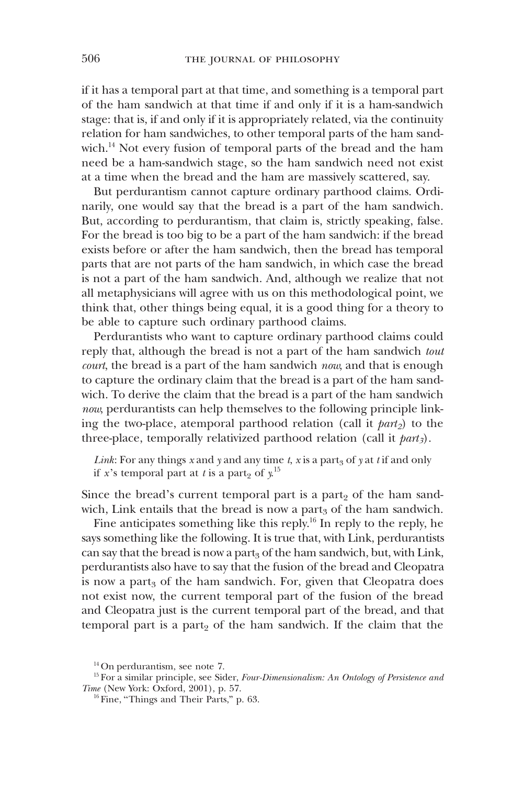if it has a temporal part at that time, and something is a temporal part of the ham sandwich at that time if and only if it is a ham-sandwich stage: that is, if and only if it is appropriately related, via the continuity relation for ham sandwiches, to other temporal parts of the ham sandwich.<sup>14</sup> Not every fusion of temporal parts of the bread and the ham need be a ham-sandwich stage, so the ham sandwich need not exist at a time when the bread and the ham are massively scattered, say.

But perdurantism cannot capture ordinary parthood claims. Ordinarily, one would say that the bread is a part of the ham sandwich. But, according to perdurantism, that claim is, strictly speaking, false. For the bread is too big to be a part of the ham sandwich: if the bread exists before or after the ham sandwich, then the bread has temporal parts that are not parts of the ham sandwich, in which case the bread is not a part of the ham sandwich. And, although we realize that not all metaphysicians will agree with us on this methodological point, we think that, other things being equal, it is a good thing for a theory to be able to capture such ordinary parthood claims.

Perdurantists who want to capture ordinary parthood claims could reply that, although the bread is not a part of the ham sandwich tout court, the bread is a part of the ham sandwich now, and that is enough to capture the ordinary claim that the bread is a part of the ham sandwich. To derive the claim that the bread is a part of the ham sandwich now, perdurantists can help themselves to the following principle linking the two-place, atemporal parthood relation (call it  $part_2$ ) to the three-place, temporally relativized parthood relation (call it  $part_3$ ).

Link: For any things x and y and any time t, x is a part<sub>3</sub> of y at t if and only if *x*'s temporal part at *t* is a part<sub>2</sub> of  $y^{15}$ 

Since the bread's current temporal part is a part $_2$  of the ham sandwich, Link entails that the bread is now a part<sub>3</sub> of the ham sandwich.

Fine anticipates something like this reply.<sup>16</sup> In reply to the reply, he says something like the following. It is true that, with Link, perdurantists can say that the bread is now a part<sub>3</sub> of the ham sandwich, but, with Link, perdurantists also have to say that the fusion of the bread and Cleopatra is now a part<sub>3</sub> of the ham sandwich. For, given that Cleopatra does not exist now, the current temporal part of the fusion of the bread and Cleopatra just is the current temporal part of the bread, and that temporal part is a part<sub>2</sub> of the ham sandwich. If the claim that the

<sup>14</sup> On perdurantism, see note 7.

<sup>&</sup>lt;sup>15</sup> For a similar principle, see Sider, Four-Dimensionalism: An Ontology of Persistence and Time (New York: Oxford, 2001), p. 57.

<sup>&</sup>lt;sup>16</sup> Fine, "Things and Their Parts," p. 63.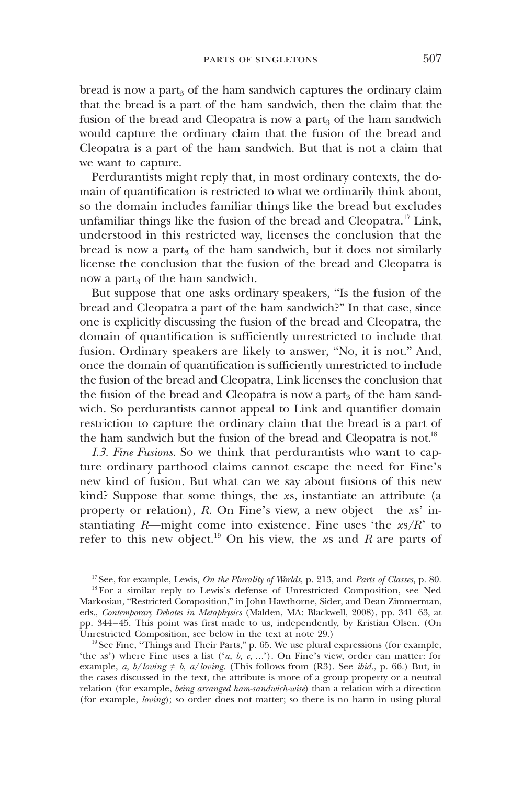bread is now a part<sub>3</sub> of the ham sandwich captures the ordinary claim that the bread is a part of the ham sandwich, then the claim that the fusion of the bread and Cleopatra is now a part<sub>3</sub> of the ham sandwich would capture the ordinary claim that the fusion of the bread and Cleopatra is a part of the ham sandwich. But that is not a claim that we want to capture.

Perdurantists might reply that, in most ordinary contexts, the domain of quantification is restricted to what we ordinarily think about, so the domain includes familiar things like the bread but excludes unfamiliar things like the fusion of the bread and Cleopatra.<sup>17</sup> Link, understood in this restricted way, licenses the conclusion that the bread is now a part<sub>3</sub> of the ham sandwich, but it does not similarly license the conclusion that the fusion of the bread and Cleopatra is now a part<sub>3</sub> of the ham sandwich.

But suppose that one asks ordinary speakers, "Is the fusion of the bread and Cleopatra a part of the ham sandwich?" In that case, since one is explicitly discussing the fusion of the bread and Cleopatra, the domain of quantification is sufficiently unrestricted to include that fusion. Ordinary speakers are likely to answer, "No, it is not." And, once the domain of quantification is sufficiently unrestricted to include the fusion of the bread and Cleopatra, Link licenses the conclusion that the fusion of the bread and Cleopatra is now a part<sub>3</sub> of the ham sandwich. So perdurantists cannot appeal to Link and quantifier domain restriction to capture the ordinary claim that the bread is a part of the ham sandwich but the fusion of the bread and Cleopatra is not.<sup>18</sup>

I.3. Fine Fusions. So we think that perdurantists who want to capture ordinary parthood claims cannot escape the need for Fine's new kind of fusion. But what can we say about fusions of this new kind? Suppose that some things, the xs, instantiate an attribute (a property or relation), R. On Fine's view, a new object—the xs' instantiating  $R$ —might come into existence. Fine uses 'the  $xs/R$ ' to refer to this new object.<sup>19</sup> On his view, the xs and R are parts of

<sup>&</sup>lt;sup>17</sup> See, for example, Lewis, On the Plurality of Worlds, p. 213, and Parts of Classes, p. 80.

<sup>&</sup>lt;sup>18</sup> For a similar reply to Lewis's defense of Unrestricted Composition, see Ned Markosian, "Restricted Composition," in John Hawthorne, Sider, and Dean Zimmerman, eds., Contemporary Debates in Metaphysics (Malden, MA: Blackwell, 2008), pp. 341–63, at pp. 344–45. This point was first made to us, independently, by Kristian Olsen. (On Unrestricted Composition, see below in the text at note 29.)

<sup>&</sup>lt;sup>19</sup> See Fine, "Things and Their Parts," p. 65. We use plural expressions (for example, 'the xs') where Fine uses a list  $(a, b, c, ...)$ . On Fine's view, order can matter: for example, a, b/loving  $\neq b$ , a/loving. (This follows from (R3). See ibid., p. 66.) But, in the cases discussed in the text, the attribute is more of a group property or a neutral relation (for example, being arranged ham-sandwich-wise) than a relation with a direction (for example, loving); so order does not matter; so there is no harm in using plural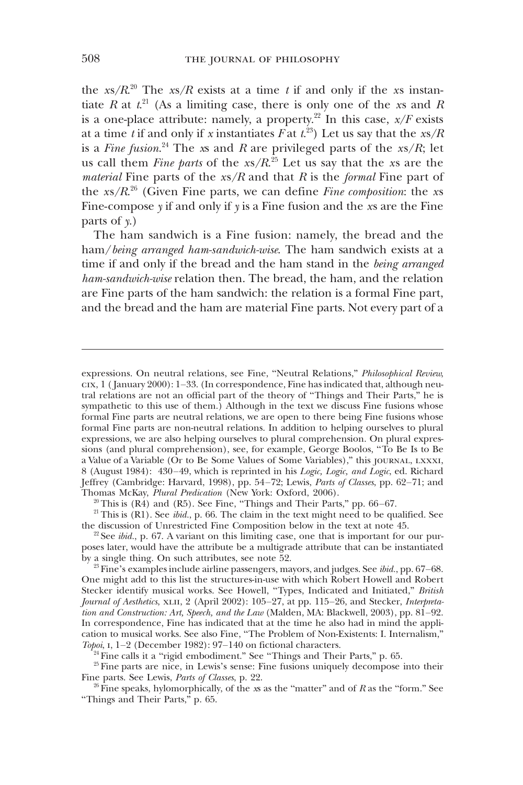the xs/ $R^{20}$  The xs/R exists at a time t if and only if the xs instantiate R at  $t^{21}$  (As a limiting case, there is only one of the xs and R is a one-place attribute: namely, a property.<sup>22</sup> In this case,  $x/F$  exists at a time  $t$  if and only if x instantiates  $F$  at  $t^{23})$  Let us say that the  $\sqrt{x}$ is a *Fine fusion*.<sup>24</sup> The xs and R are privileged parts of the xs/R; let us call them *Fine parts* of the  $xs/R$ <sup>25</sup> Let us say that the xs are the *material* Fine parts of the  $xs/R$  and that R is the *formal* Fine part of the  $xs/R^{26}$  (Given Fine parts, we can define *Fine composition*: the xs Fine-compose  $y$  if and only if  $y$  is a Fine fusion and the  $xs$  are the Fine parts of  $\gamma$ .)

The ham sandwich is a Fine fusion: namely, the bread and the ham/being arranged ham-sandwich-wise. The ham sandwich exists at a time if and only if the bread and the ham stand in the being arranged ham-sandwich-wise relation then. The bread, the ham, and the relation are Fine parts of the ham sandwich: the relation is a formal Fine part, and the bread and the ham are material Fine parts. Not every part of a

 $20$ <sup>20</sup> This is (R4) and (R5). See Fine, "Things and Their Parts," pp. 66–67.

 $21$  This is (R1). See *ibid.*, p. 66. The claim in the text might need to be qualified. See the discussion of Unrestricted Fine Composition below in the text at note 45.

 $24$  Fine calls it a "rigid embodiment." See "Things and Their Parts," p. 65.

<sup>25</sup> Fine parts are nice, in Lewis's sense: Fine fusions uniquely decompose into their Fine parts. See Lewis, Parts of Classes, p. 22.

 $26$  Fine speaks, hylomorphically, of the xs as the "matter" and of R as the "form." See "Things and Their Parts," p. 65.

expressions. On neutral relations, see Fine, "Neutral Relations," Philosophical Review, cix, 1 ( January 2000): 1–33. (In correspondence, Fine has indicated that, although neutral relations are not an official part of the theory of "Things and Their Parts," he is sympathetic to this use of them.) Although in the text we discuss Fine fusions whose formal Fine parts are neutral relations, we are open to there being Fine fusions whose formal Fine parts are non-neutral relations. In addition to helping ourselves to plural expressions, we are also helping ourselves to plural comprehension. On plural expressions (and plural comprehension), see, for example, George Boolos, "To Be Is to Be a Value of a Variable (Or to Be Some Values of Some Variables)," this journal, lxxxi, 8 (August 1984): 430–49, which is reprinted in his Logic, Logic, and Logic, ed. Richard Jeffrey (Cambridge: Harvard, 1998), pp. 54–72; Lewis, Parts of Classes, pp. 62–71; and Thomas McKay, Plural Predication (New York: Oxford, 2006).

<sup>&</sup>lt;sup>22</sup> See *ibid.*, p. 67. A variant on this limiting case, one that is important for our purposes later, would have the attribute be a multigrade attribute that can be instantiated by a single thing. On such attributes, see note 52.

 $23$  Fine's examples include airline passengers, mayors, and judges. See ibid., pp. 67-68. One might add to this list the structures-in-use with which Robert Howell and Robert Stecker identify musical works. See Howell, "Types, Indicated and Initiated," British Journal of Aesthetics, XLII, 2 (April 2002): 105-27, at pp. 115-26, and Stecker, Interpretation and Construction: Art, Speech, and the Law (Malden, MA: Blackwell, 2003), pp. 81–92. In correspondence, Fine has indicated that at the time he also had in mind the application to musical works. See also Fine, "The Problem of Non-Existents: I. Internalism," Topoi, i, 1–2 (December 1982): 97–140 on fictional characters.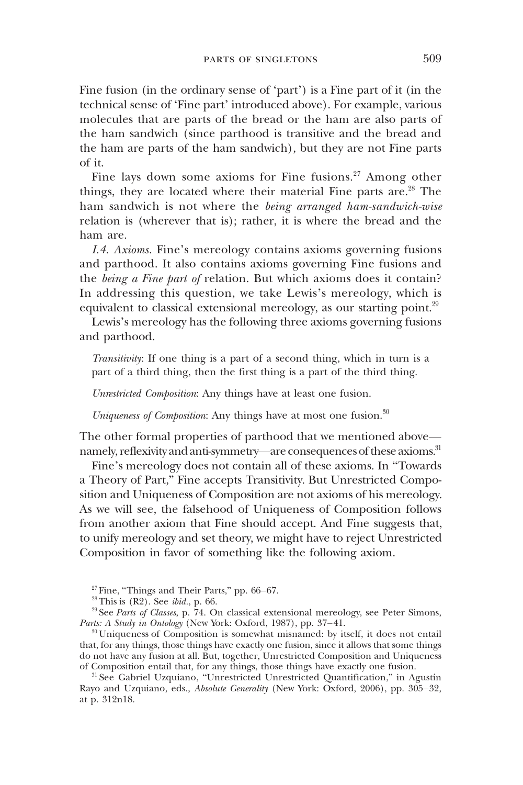Fine fusion (in the ordinary sense of 'part') is a Fine part of it (in the technical sense of 'Fine part' introduced above). For example, various molecules that are parts of the bread or the ham are also parts of the ham sandwich (since parthood is transitive and the bread and the ham are parts of the ham sandwich), but they are not Fine parts of it.

Fine lays down some axioms for Fine fusions.<sup>27</sup> Among other things, they are located where their material Fine parts are.<sup>28</sup> The ham sandwich is not where the being arranged ham-sandwich-wise relation is (wherever that is); rather, it is where the bread and the ham are.

I.4. Axioms. Fine's mereology contains axioms governing fusions and parthood. It also contains axioms governing Fine fusions and the *being a Fine part of relation*. But which axioms does it contain? In addressing this question, we take Lewis's mereology, which is equivalent to classical extensional mereology, as our starting point. $29$ 

Lewis's mereology has the following three axioms governing fusions and parthood.

Transitivity: If one thing is a part of a second thing, which in turn is a part of a third thing, then the first thing is a part of the third thing.

Unrestricted Composition: Any things have at least one fusion.

Uniqueness of Composition: Any things have at most one fusion. $30$ 

The other formal properties of parthood that we mentioned above namely, reflexivity and anti-symmetry—are consequences of these axioms.<sup>31</sup>

Fine's mereology does not contain all of these axioms. In "Towards a Theory of Part," Fine accepts Transitivity. But Unrestricted Composition and Uniqueness of Composition are not axioms of his mereology. As we will see, the falsehood of Uniqueness of Composition follows from another axiom that Fine should accept. And Fine suggests that, to unify mereology and set theory, we might have to reject Unrestricted Composition in favor of something like the following axiom.

<sup>30</sup> Uniqueness of Composition is somewhat misnamed: by itself, it does not entail that, for any things, those things have exactly one fusion, since it allows that some things do not have any fusion at all. But, together, Unrestricted Composition and Uniqueness of Composition entail that, for any things, those things have exactly one fusion.

<sup>31</sup> See Gabriel Uzquiano, "Unrestricted Unrestricted Quantification," in Agustín Rayo and Uzquiano, eds., Absolute Generality (New York: Oxford, 2006), pp. 305–32, at p. 312n18.

 $27$  Fine, "Things and Their Parts," pp. 66-67.

 $28$  This is  $(R2)$ . See *ibid.*, p. 66.

 $29$  See Parts of Classes, p. 74. On classical extensional mereology, see Peter Simons, Parts: A Study in Ontology (New York: Oxford, 1987), pp. 37-41.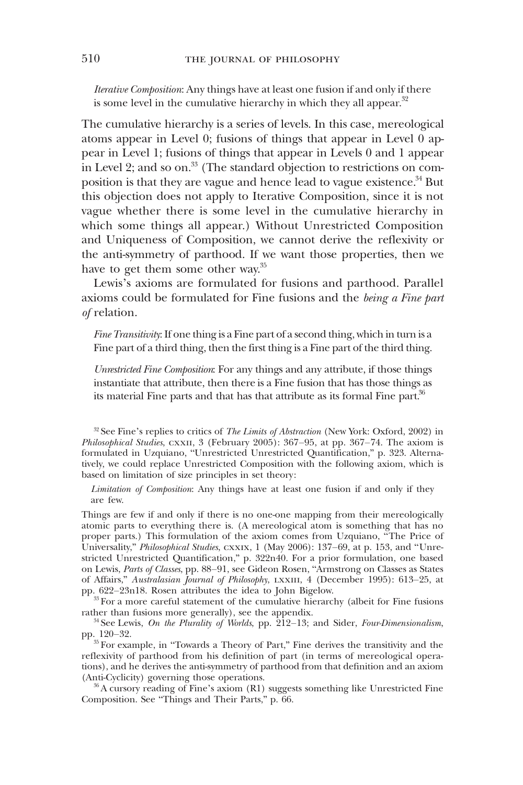Iterative Composition: Any things have at least one fusion if and only if there is some level in the cumulative hierarchy in which they all appear. $32$ 

The cumulative hierarchy is a series of levels. In this case, mereological atoms appear in Level 0; fusions of things that appear in Level 0 appear in Level 1; fusions of things that appear in Levels 0 and 1 appear in Level 2; and so on.<sup>33</sup> (The standard objection to restrictions on composition is that they are vague and hence lead to vague existence.<sup>34</sup> But this objection does not apply to Iterative Composition, since it is not vague whether there is some level in the cumulative hierarchy in which some things all appear.) Without Unrestricted Composition and Uniqueness of Composition, we cannot derive the reflexivity or the anti-symmetry of parthood. If we want those properties, then we have to get them some other way.<sup>35</sup>

Lewis's axioms are formulated for fusions and parthood. Parallel axioms could be formulated for Fine fusions and the being a Fine part of relation.

Fine Transitivity: If one thing is a Fine part of a second thing, which in turn is a Fine part of a third thing, then the first thing is a Fine part of the third thing.

Unrestricted Fine Composition: For any things and any attribute, if those things instantiate that attribute, then there is a Fine fusion that has those things as its material Fine parts and that has that attribute as its formal Fine part. $36$ 

<sup>32</sup> See Fine's replies to critics of *The Limits of Abstraction* (New York: Oxford, 2002) in Philosophical Studies, cxxii, 3 (February 2005): 367–95, at pp. 367–74. The axiom is formulated in Uzquiano, "Unrestricted Unrestricted Quantification," p. 323. Alternatively, we could replace Unrestricted Composition with the following axiom, which is based on limitation of size principles in set theory:

Limitation of Composition: Any things have at least one fusion if and only if they are few.

Things are few if and only if there is no one-one mapping from their mereologically atomic parts to everything there is. (A mereological atom is something that has no proper parts.) This formulation of the axiom comes from Uzquiano, "The Price of Universality," Philosophical Studies, CXXIX, 1 (May 2006): 137-69, at p. 153, and "Unrestricted Unrestricted Quantification," p. 322n40. For a prior formulation, one based on Lewis, Parts of Classes, pp. 88–91, see Gideon Rosen, "Armstrong on Classes as States of Affairs," Australasian Journal of Philosophy, lxxiii, 4 (December 1995): 613–25, at pp. 622–23n18. Rosen attributes the idea to John Bigelow.

<sup>33</sup> For a more careful statement of the cumulative hierarchy (albeit for Fine fusions rather than fusions more generally), see the appendix.

 $34$  See Lewis, On the Plurality of Worlds, pp.  $212-13$ ; and Sider, Four-Dimensionalism, pp. 120–32.

<sup>35</sup> For example, in "Towards a Theory of Part," Fine derives the transitivity and the reflexivity of parthood from his definition of part (in terms of mereological operations), and he derives the anti-symmetry of parthood from that definition and an axiom (Anti-Cyclicity) governing those operations.

<sup>36</sup> A cursory reading of Fine's axiom (R1) suggests something like Unrestricted Fine Composition. See "Things and Their Parts," p. 66.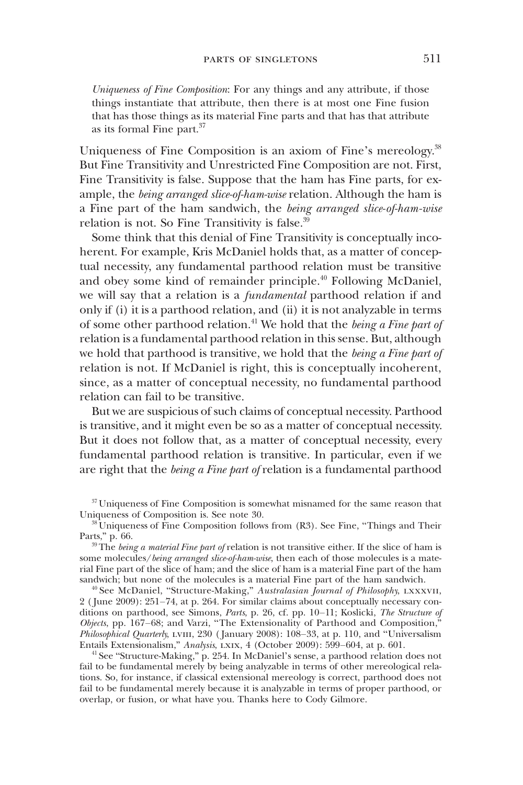Uniqueness of Fine Composition: For any things and any attribute, if those things instantiate that attribute, then there is at most one Fine fusion that has those things as its material Fine parts and that has that attribute as its formal Fine part.<sup>37</sup>

Uniqueness of Fine Composition is an axiom of Fine's mereology.<sup>38</sup> But Fine Transitivity and Unrestricted Fine Composition are not. First, Fine Transitivity is false. Suppose that the ham has Fine parts, for example, the *being arranged slice-of-ham-wise* relation. Although the ham is a Fine part of the ham sandwich, the being arranged slice-of-ham-wise relation is not. So Fine Transitivity is false.<sup>39</sup>

Some think that this denial of Fine Transitivity is conceptually incoherent. For example, Kris McDaniel holds that, as a matter of conceptual necessity, any fundamental parthood relation must be transitive and obey some kind of remainder principle.<sup>40</sup> Following McDaniel, we will say that a relation is a fundamental parthood relation if and only if (i) it is a parthood relation, and (ii) it is not analyzable in terms of some other parthood relation.<sup>41</sup> We hold that the *being a Fine part of* relation is a fundamental parthood relation in this sense. But, although we hold that parthood is transitive, we hold that the being a Fine part of relation is not. If McDaniel is right, this is conceptually incoherent, since, as a matter of conceptual necessity, no fundamental parthood relation can fail to be transitive.

But we are suspicious of such claims of conceptual necessity. Parthood is transitive, and it might even be so as a matter of conceptual necessity. But it does not follow that, as a matter of conceptual necessity, every fundamental parthood relation is transitive. In particular, even if we are right that the being a Fine part of relation is a fundamental parthood

<sup>37</sup> Uniqueness of Fine Composition is somewhat misnamed for the same reason that Uniqueness of Composition is. See note 30.

 $38^{\circ}$ Uniqueness of Fine Composition follows from (R3). See Fine, "Things and Their Parts," p. 66.

 $39$  The being a material Fine part of relation is not transitive either. If the slice of ham is some molecules/being arranged slice-of-ham-wise, then each of those molecules is a material Fine part of the slice of ham; and the slice of ham is a material Fine part of the ham sandwich; but none of the molecules is a material Fine part of the ham sandwich.

<sup>40</sup> See McDaniel, "Structure-Making," Australasian Journal of Philosophy, LXXXVII, 2 ( June 2009): 251–74, at p. 264. For similar claims about conceptually necessary conditions on parthood, see Simons, Parts, p. 26, cf. pp. 10–11; Koslicki, The Structure of  $Objects, pp. 167–68; and Varzi, "The Extensionality of Parthood and Composition,"$ Philosophical Quarterly, LVIII, 230 (January 2008): 108–33, at p. 110, and "Universalism Entails Extensionalism," Analysis, lxix, 4 (October 2009): 599–604, at p. 601.

<sup>41</sup> See "Structure-Making," p. 254. In McDaniel's sense, a parthood relation does not fail to be fundamental merely by being analyzable in terms of other mereological relations. So, for instance, if classical extensional mereology is correct, parthood does not fail to be fundamental merely because it is analyzable in terms of proper parthood, or overlap, or fusion, or what have you. Thanks here to Cody Gilmore.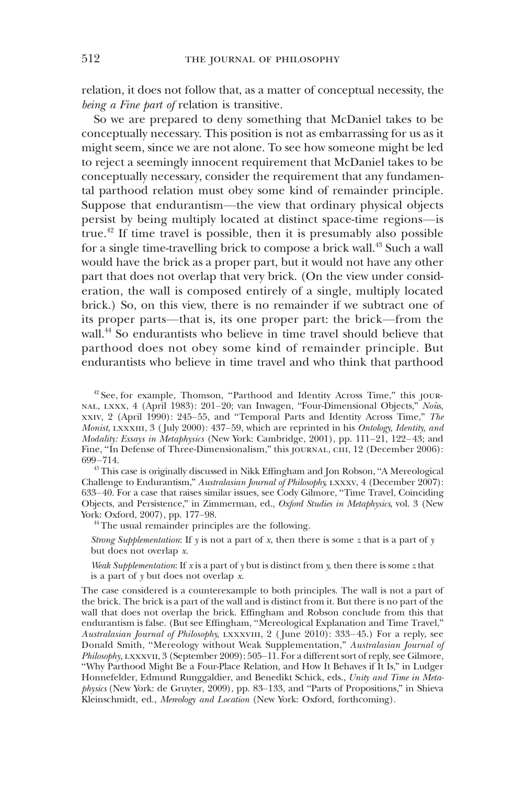relation, it does not follow that, as a matter of conceptual necessity, the being a Fine part of relation is transitive.

So we are prepared to deny something that McDaniel takes to be conceptually necessary. This position is not as embarrassing for us as it might seem, since we are not alone. To see how someone might be led to reject a seemingly innocent requirement that McDaniel takes to be conceptually necessary, consider the requirement that any fundamental parthood relation must obey some kind of remainder principle. Suppose that endurantism—the view that ordinary physical objects persist by being multiply located at distinct space-time regions—is true.<sup>42</sup> If time travel is possible, then it is presumably also possible for a single time-travelling brick to compose a brick wall.<sup>43</sup> Such a wall would have the brick as a proper part, but it would not have any other part that does not overlap that very brick. (On the view under consideration, the wall is composed entirely of a single, multiply located brick.) So, on this view, there is no remainder if we subtract one of its proper parts—that is, its one proper part: the brick—from the wall.<sup>44</sup> So endurantists who believe in time travel should believe that parthood does not obey some kind of remainder principle. But endurantists who believe in time travel and who think that parthood

<sup>42</sup> See, for example, Thomson, "Parthood and Identity Across Time," this journal, lxxx, 4 (April 1983): 201–20; van Inwagen, "Four-Dimensional Objects," Noûs, xxiv, 2 (April 1990): 245–55, and "Temporal Parts and Identity Across Time," The Monist, LXXXIII, 3 (July 2000):  $437-59$ , which are reprinted in his *Ontology*, *Identity, and* Modality: Essays in Metaphysics (New York: Cambridge, 2001), pp. 111-21, 122-43; and Fine, "In Defense of Three-Dimensionalism," this journal, ciii, 12 (December 2006): 699–714.

<sup>43</sup> This case is originally discussed in Nikk Effingham and Jon Robson, "A Mereological Challenge to Endurantism," Australasian Journal of Philosophy, LXXXV, 4 (December 2007): 633–40. For a case that raises similar issues, see Cody Gilmore, "Time Travel, Coinciding Objects, and Persistence," in Zimmerman, ed., Oxford Studies in Metaphysics, vol. 3 (New York: Oxford, 2007), pp. 177–98.

<sup>44</sup> The usual remainder principles are the following.

Strong Supplementation: If  $y$  is not a part of x, then there is some z that is a part of  $y$ but does not overlap x.

Weak Supplementation: If  $x$  is a part of  $y$  but is distinct from  $y$ , then there is some  $z$  that is a part of y but does not overlap x.

The case considered is a counterexample to both principles. The wall is not a part of the brick. The brick is a part of the wall and is distinct from it. But there is no part of the wall that does not overlap the brick. Effingham and Robson conclude from this that endurantism is false. (But see Effingham, "Mereological Explanation and Time Travel," Australasian Journal of Philosophy, LXXXVIII, 2 (June 2010): 333-45.) For a reply, see Donald Smith, "Mereology without Weak Supplementation," Australasian Journal of Philosophy, LXXXVII, 3 (September 2009): 505–11. For a different sort of reply, see Gilmore, "Why Parthood Might Be a Four-Place Relation, and How It Behaves if It Is," in Ludger Honnefelder, Edmund Runggaldier, and Benedikt Schick, eds., Unity and Time in Metaphysics (New York: de Gruyter, 2009), pp. 83–133, and "Parts of Propositions," in Shieva Kleinschmidt, ed., Mereology and Location (New York: Oxford, forthcoming).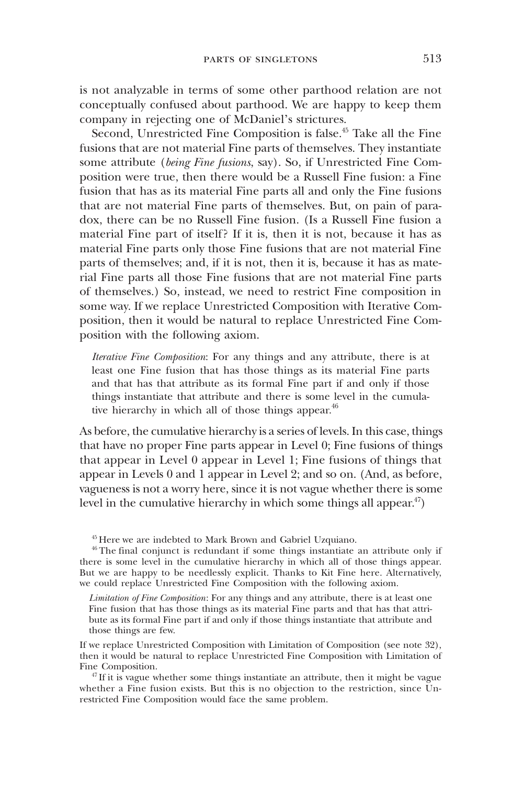is not analyzable in terms of some other parthood relation are not conceptually confused about parthood. We are happy to keep them company in rejecting one of McDaniel's strictures.

Second, Unrestricted Fine Composition is false.<sup>45</sup> Take all the Fine fusions that are not material Fine parts of themselves. They instantiate some attribute (being Fine fusions, say). So, if Unrestricted Fine Composition were true, then there would be a Russell Fine fusion: a Fine fusion that has as its material Fine parts all and only the Fine fusions that are not material Fine parts of themselves. But, on pain of paradox, there can be no Russell Fine fusion. (Is a Russell Fine fusion a material Fine part of itself? If it is, then it is not, because it has as material Fine parts only those Fine fusions that are not material Fine parts of themselves; and, if it is not, then it is, because it has as material Fine parts all those Fine fusions that are not material Fine parts of themselves.) So, instead, we need to restrict Fine composition in some way. If we replace Unrestricted Composition with Iterative Composition, then it would be natural to replace Unrestricted Fine Composition with the following axiom.

Iterative Fine Composition: For any things and any attribute, there is at least one Fine fusion that has those things as its material Fine parts and that has that attribute as its formal Fine part if and only if those things instantiate that attribute and there is some level in the cumulative hierarchy in which all of those things appear. $46$ 

As before, the cumulative hierarchy is a series of levels. In this case, things that have no proper Fine parts appear in Level 0; Fine fusions of things that appear in Level 0 appear in Level 1; Fine fusions of things that appear in Levels 0 and 1 appear in Level 2; and so on. (And, as before, vagueness is not a worry here, since it is not vague whether there is some level in the cumulative hierarchy in which some things all appear. $47$ )

<sup>45</sup> Here we are indebted to Mark Brown and Gabriel Uzquiano.

<sup>46</sup> The final conjunct is redundant if some things instantiate an attribute only if there is some level in the cumulative hierarchy in which all of those things appear. But we are happy to be needlessly explicit. Thanks to Kit Fine here. Alternatively, we could replace Unrestricted Fine Composition with the following axiom.

Limitation of Fine Composition: For any things and any attribute, there is at least one Fine fusion that has those things as its material Fine parts and that has that attribute as its formal Fine part if and only if those things instantiate that attribute and those things are few.

If we replace Unrestricted Composition with Limitation of Composition (see note 32), then it would be natural to replace Unrestricted Fine Composition with Limitation of Fine Composition.

 $47$  If it is vague whether some things instantiate an attribute, then it might be vague whether a Fine fusion exists. But this is no objection to the restriction, since Unrestricted Fine Composition would face the same problem.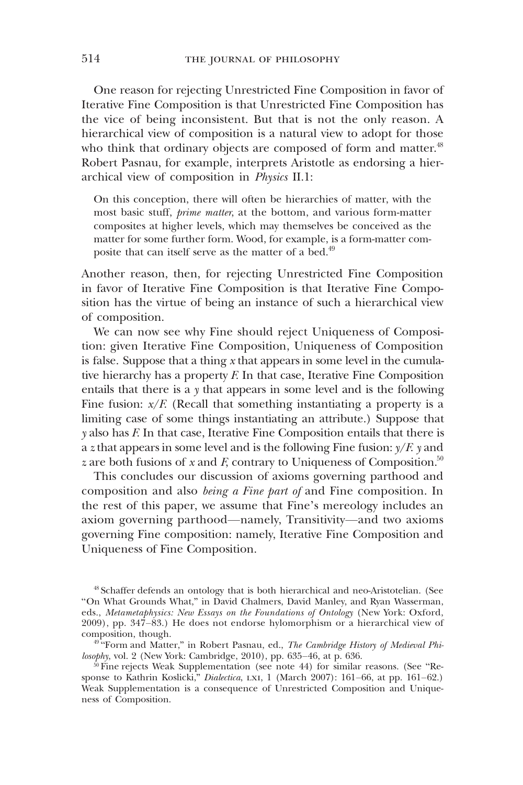One reason for rejecting Unrestricted Fine Composition in favor of Iterative Fine Composition is that Unrestricted Fine Composition has the vice of being inconsistent. But that is not the only reason. A hierarchical view of composition is a natural view to adopt for those who think that ordinary objects are composed of form and matter.<sup>48</sup> Robert Pasnau, for example, interprets Aristotle as endorsing a hierarchical view of composition in Physics II.1:

On this conception, there will often be hierarchies of matter, with the most basic stuff, prime matter, at the bottom, and various form-matter composites at higher levels, which may themselves be conceived as the matter for some further form. Wood, for example, is a form-matter composite that can itself serve as the matter of a bed.<sup>49</sup>

Another reason, then, for rejecting Unrestricted Fine Composition in favor of Iterative Fine Composition is that Iterative Fine Composition has the virtue of being an instance of such a hierarchical view of composition.

We can now see why Fine should reject Uniqueness of Composition: given Iterative Fine Composition, Uniqueness of Composition is false. Suppose that a thing  $x$  that appears in some level in the cumulative hierarchy has a property  $F$ . In that case, Iterative Fine Composition entails that there is a y that appears in some level and is the following Fine fusion:  $x/F$ . (Recall that something instantiating a property is a limiting case of some things instantiating an attribute.) Suppose that  $y$  also has  $F$ . In that case, Iterative Fine Composition entails that there is a z that appears in some level and is the following Fine fusion:  $\sqrt{F}$ , y and z are both fusions of x and F, contrary to Uniqueness of Composition.<sup>50</sup>

This concludes our discussion of axioms governing parthood and composition and also being a Fine part of and Fine composition. In the rest of this paper, we assume that Fine's mereology includes an axiom governing parthood—namely, Transitivity—and two axioms governing Fine composition: namely, Iterative Fine Composition and Uniqueness of Fine Composition.

<sup>48</sup> Schaffer defends an ontology that is both hierarchical and neo-Aristotelian. (See "On What Grounds What," in David Chalmers, David Manley, and Ryan Wasserman, eds., Metametaphysics: New Essays on the Foundations of Ontology (New York: Oxford, 2009), pp. 347–83.) He does not endorse hylomorphism or a hierarchical view of composition, though.

<sup>49</sup> "Form and Matter," in Robert Pasnau, ed., The Cambridge History of Medieval Philosophy, vol. 2 (New York: Cambridge, 2010), pp. 635–46, at p. 636.

 $50$  Fine rejects Weak Supplementation (see note 44) for similar reasons. (See "Response to Kathrin Koslicki," Dialectica, LXI, 1 (March 2007): 161–66, at pp. 161–62.) Weak Supplementation is a consequence of Unrestricted Composition and Uniqueness of Composition.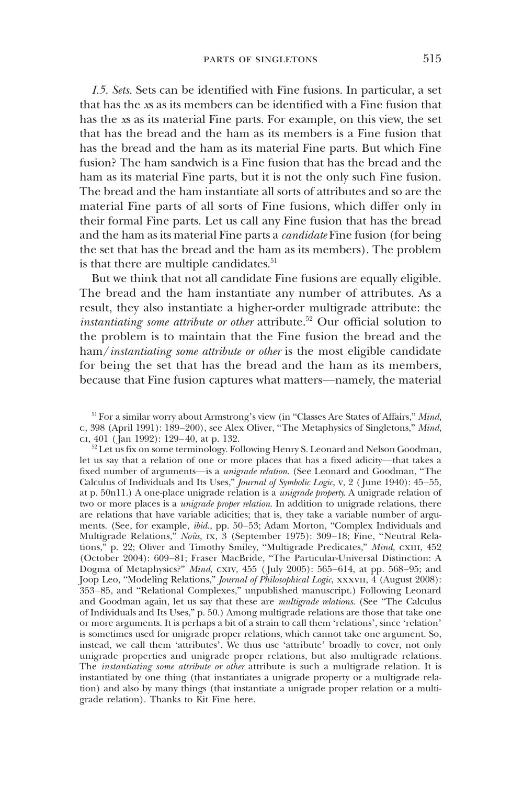I.5. Sets. Sets can be identified with Fine fusions. In particular, a set that has the xs as its members can be identified with a Fine fusion that has the xs as its material Fine parts. For example, on this view, the set that has the bread and the ham as its members is a Fine fusion that has the bread and the ham as its material Fine parts. But which Fine fusion? The ham sandwich is a Fine fusion that has the bread and the ham as its material Fine parts, but it is not the only such Fine fusion. The bread and the ham instantiate all sorts of attributes and so are the material Fine parts of all sorts of Fine fusions, which differ only in their formal Fine parts. Let us call any Fine fusion that has the bread and the ham as its material Fine parts a candidate Fine fusion (for being the set that has the bread and the ham as its members). The problem is that there are multiple candidates.<sup>51</sup>

But we think that not all candidate Fine fusions are equally eligible. The bread and the ham instantiate any number of attributes. As a result, they also instantiate a higher-order multigrade attribute: the instantiating some attribute or other attribute.<sup>52</sup> Our official solution to the problem is to maintain that the Fine fusion the bread and the ham/instantiating some attribute or other is the most eligible candidate for being the set that has the bread and the ham as its members, because that Fine fusion captures what matters—namely, the material

<sup>&</sup>lt;sup>51</sup> For a similar worry about Armstrong's view (in "Classes Are States of Affairs," Mind, c, 398 (April 1991): 189–200), see Alex Oliver, "The Metaphysics of Singletons," Mind, ci, 401 ( $\bar{a}$ an 1992): 129–40, at p. 132.

<sup>&</sup>lt;sup>52</sup> Let us fix on some terminology. Following Henry S. Leonard and Nelson Goodman, let us say that a relation of one or more places that has a fixed adicity—that takes a fixed number of arguments—is a unigrade relation. (See Leonard and Goodman, "The Calculus of Individuals and Its Uses," Journal of Symbolic Logic, v, 2 ( June 1940): 45–55, at p. 50n11.) A one-place unigrade relation is a unigrade property. A unigrade relation of two or more places is a *unigrade proper relation*. In addition to unigrade relations, there are relations that have variable adicities; that is, they take a variable number of arguments. (See, for example, ibid., pp. 50–53; Adam Morton, "Complex Individuals and Multigrade Relations," Noûs, ix, 3 (September 1975): 309–18; Fine, "Neutral Relations," p. 22; Oliver and Timothy Smiley, "Multigrade Predicates," Mind, CXIII, 452 (October 2004): 609–81; Fraser MacBride, "The Particular-Universal Distinction: A Dogma of Metaphysics?" Mind, cxiv, 455 (July 2005): 565-614, at pp. 568-95; and Joop Leo, "Modeling Relations," Journal of Philosophical Logic, xxxvII, 4 (August 2008): 353–85, and "Relational Complexes," unpublished manuscript.) Following Leonard and Goodman again, let us say that these are *multigrade relations*. (See "The Calculus of Individuals and Its Uses," p. 50.) Among multigrade relations are those that take one or more arguments. It is perhaps a bit of a strain to call them 'relations', since 'relation' is sometimes used for unigrade proper relations, which cannot take one argument. So, instead, we call them 'attributes'. We thus use 'attribute' broadly to cover, not only unigrade properties and unigrade proper relations, but also multigrade relations. The instantiating some attribute or other attribute is such a multigrade relation. It is instantiated by one thing (that instantiates a unigrade property or a multigrade relation) and also by many things (that instantiate a unigrade proper relation or a multigrade relation). Thanks to Kit Fine here.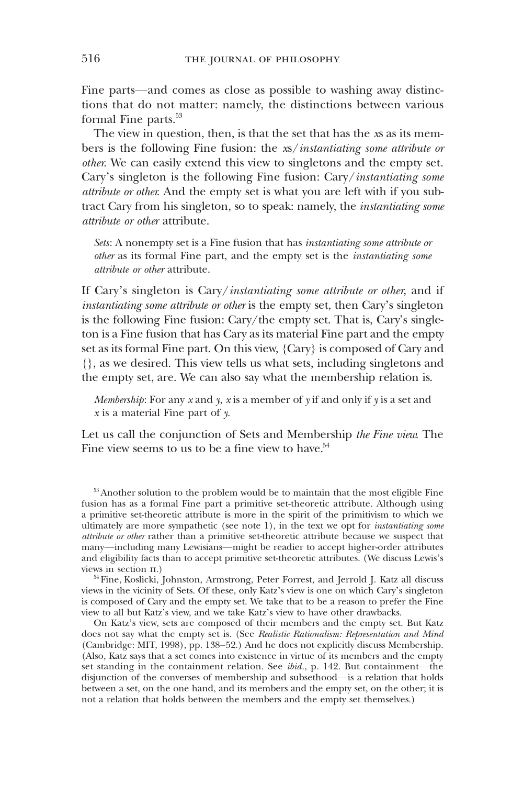Fine parts—and comes as close as possible to washing away distinctions that do not matter: namely, the distinctions between various formal Fine parts.<sup>53</sup>

The view in question, then, is that the set that has the xs as its members is the following Fine fusion: the xs/instantiating some attribute or other. We can easily extend this view to singletons and the empty set. Cary's singleton is the following Fine fusion: Cary/instantiating some attribute or other. And the empty set is what you are left with if you subtract Cary from his singleton, so to speak: namely, the instantiating some attribute or other attribute.

Sets: A nonempty set is a Fine fusion that has instantiating some attribute or other as its formal Fine part, and the empty set is the instantiating some attribute or other attribute.

If Cary's singleton is Cary/instantiating some attribute or other, and if instantiating some attribute or other is the empty set, then Cary's singleton is the following Fine fusion: Cary/the empty set. That is, Cary's singleton is a Fine fusion that has Cary as its material Fine part and the empty set as its formal Fine part. On this view, {Cary} is composed of Cary and {}, as we desired. This view tells us what sets, including singletons and the empty set, are. We can also say what the membership relation is.

Membership: For any  $x$  and  $y$ ,  $x$  is a member of  $y$  if and only if  $y$  is a set and  $x$  is a material Fine part of  $y$ .

Let us call the conjunction of Sets and Membership the Fine view. The Fine view seems to us to be a fine view to have. $54$ 

<sup>53</sup> Another solution to the problem would be to maintain that the most eligible Fine fusion has as a formal Fine part a primitive set-theoretic attribute. Although using a primitive set-theoretic attribute is more in the spirit of the primitivism to which we ultimately are more sympathetic (see note 1), in the text we opt for instantiating some attribute or other rather than a primitive set-theoretic attribute because we suspect that many—including many Lewisians—might be readier to accept higher-order attributes and eligibility facts than to accept primitive set-theoretic attributes. (We discuss Lewis's views in section ii.)

<sup>54</sup> Fine, Koslicki, Johnston, Armstrong, Peter Forrest, and Jerrold J. Katz all discuss views in the vicinity of Sets. Of these, only Katz's view is one on which Cary's singleton is composed of Cary and the empty set. We take that to be a reason to prefer the Fine view to all but Katz's view, and we take Katz's view to have other drawbacks.

On Katz's view, sets are composed of their members and the empty set. But Katz does not say what the empty set is. (See Realistic Rationalism: Representation and Mind (Cambridge: MIT, 1998), pp. 138–52.) And he does not explicitly discuss Membership. (Also, Katz says that a set comes into existence in virtue of its members and the empty set standing in the containment relation. See *ibid.*, p. 142. But containment—the disjunction of the converses of membership and subsethood—is a relation that holds between a set, on the one hand, and its members and the empty set, on the other; it is not a relation that holds between the members and the empty set themselves.)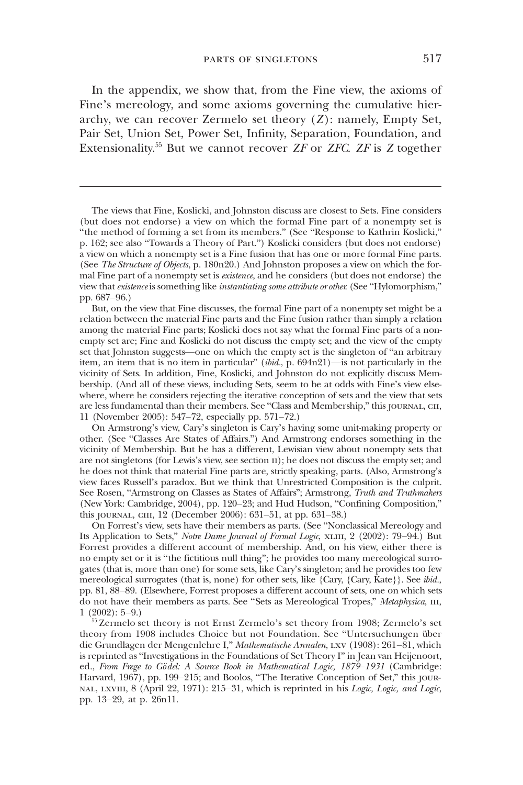In the appendix, we show that, from the Fine view, the axioms of Fine's mereology, and some axioms governing the cumulative hierarchy, we can recover Zermelo set theory  $(Z)$ : namely, Empty Set, Pair Set, Union Set, Power Set, Infinity, Separation, Foundation, and Extensionality.<sup>55</sup> But we cannot recover *ZF* or *ZFC*. *ZF* is *Z* together

The views that Fine, Koslicki, and Johnston discuss are closest to Sets. Fine considers (but does not endorse) a view on which the formal Fine part of a nonempty set is "the method of forming a set from its members." (See "Response to Kathrin Koslicki," p. 162; see also "Towards a Theory of Part.") Koslicki considers (but does not endorse) a view on which a nonempty set is a Fine fusion that has one or more formal Fine parts. (See The Structure of Objects, p. 180n20.) And Johnston proposes a view on which the formal Fine part of a nonempty set is existence, and he considers (but does not endorse) the view that existence is something like instantiating some attribute or other. (See "Hylomorphism," pp. 687–96.)

But, on the view that Fine discusses, the formal Fine part of a nonempty set might be a relation between the material Fine parts and the Fine fusion rather than simply a relation among the material Fine parts; Koslicki does not say what the formal Fine parts of a nonempty set are; Fine and Koslicki do not discuss the empty set; and the view of the empty set that Johnston suggests—one on which the empty set is the singleton of "an arbitrary item, an item that is no item in particular" (ibid., p. 694n21)—is not particularly in the vicinity of Sets. In addition, Fine, Koslicki, and Johnston do not explicitly discuss Membership. (And all of these views, including Sets, seem to be at odds with Fine's view elsewhere, where he considers rejecting the iterative conception of sets and the view that sets are less fundamental than their members. See "Class and Membership," this journal, cii, 11 (November 2005): 547–72, especially pp. 571–72.)

On Armstrong's view, Cary's singleton is Cary's having some unit-making property or other. (See "Classes Are States of Affairs.") And Armstrong endorses something in the vicinity of Membership. But he has a different, Lewisian view about nonempty sets that are not singletons (for Lewis's view, see section II); he does not discuss the empty set; and he does not think that material Fine parts are, strictly speaking, parts. (Also, Armstrong's view faces Russell's paradox. But we think that Unrestricted Composition is the culprit. See Rosen, "Armstrong on Classes as States of Affairs"; Armstrong, Truth and Truthmakers (New York: Cambridge, 2004), pp. 120–23; and Hud Hudson, "Confining Composition," this journal, ciii, 12 (December 2006): 631–51, at pp. 631–38.)

On Forrest's view, sets have their members as parts. (See "Nonclassical Mereology and Its Application to Sets," Notre Dame Journal of Formal Logic, XLIII, 2 (2002): 79–94.) But Forrest provides a different account of membership. And, on his view, either there is no empty set or it is "the fictitious null thing"; he provides too many mereological surrogates (that is, more than one) for some sets, like Cary's singleton; and he provides too few mereological surrogates (that is, none) for other sets, like {Cary, {Cary, Kate}}. See ibid., pp. 81, 88–89. (Elsewhere, Forrest proposes a different account of sets, one on which sets do not have their members as parts. See "Sets as Mereological Tropes," Metaphysica, III, 1 (2002): 5–9.)

<sup>55</sup> Zermelo set theory is not Ernst Zermelo's set theory from 1908; Zermelo's set theory from 1908 includes Choice but not Foundation. See "Untersuchungen über die Grundlagen der Mengenlehre I," Mathematische Annalen, LXV (1908): 261-81, which is reprinted as "Investigations in the Foundations of Set Theory I" in Jean van Heijenoort, ed., From Frege to Gödel: A Source Book in Mathematical Logic, 1879–1931 (Cambridge: Harvard, 1967), pp. 199–215; and Boolos, "The Iterative Conception of Set," this journal, lxviii, 8 (April 22, 1971): 215–31, which is reprinted in his Logic, Logic, and Logic, pp. 13–29, at p. 26n11.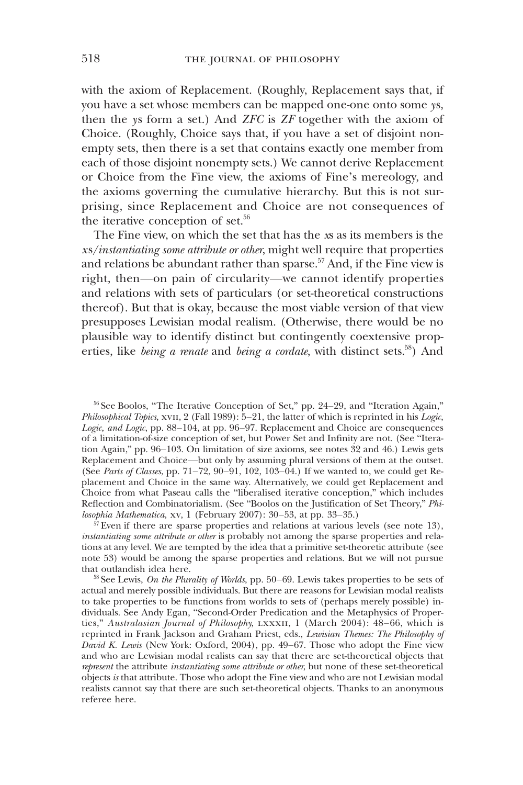with the axiom of Replacement. (Roughly, Replacement says that, if you have a set whose members can be mapped one-one onto some ys, then the ys form a set.) And  $ZFC$  is  $ZF$  together with the axiom of Choice. (Roughly, Choice says that, if you have a set of disjoint nonempty sets, then there is a set that contains exactly one member from each of those disjoint nonempty sets.) We cannot derive Replacement or Choice from the Fine view, the axioms of Fine's mereology, and the axioms governing the cumulative hierarchy. But this is not surprising, since Replacement and Choice are not consequences of the iterative conception of set. $56$ 

The Fine view, on which the set that has the xs as its members is the xs/instantiating some attribute or other, might well require that properties and relations be abundant rather than sparse.<sup>57</sup> And, if the Fine view is right, then—on pain of circularity—we cannot identify properties and relations with sets of particulars (or set-theoretical constructions thereof). But that is okay, because the most viable version of that view presupposes Lewisian modal realism. (Otherwise, there would be no plausible way to identify distinct but contingently coextensive properties, like *being a renate* and *being a cordate*, with distinct sets.<sup>58</sup>) And

<sup>56</sup> See Boolos, "The Iterative Conception of Set," pp. 24–29, and "Iteration Again," Philosophical Topics, xvII, 2 (Fall 1989):  $5-21$ , the latter of which is reprinted in his Logic, Logic, and Logic, pp. 88-104, at pp. 96-97. Replacement and Choice are consequences of a limitation-of-size conception of set, but Power Set and Infinity are not. (See "Iteration Again," pp. 96–103. On limitation of size axioms, see notes 32 and 46.) Lewis gets Replacement and Choice—but only by assuming plural versions of them at the outset. (See Parts of Classes, pp. 71–72, 90–91, 102, 103–04.) If we wanted to, we could get Replacement and Choice in the same way. Alternatively, we could get Replacement and Choice from what Paseau calls the "liberalised iterative conception," which includes Reflection and Combinatorialism. (See "Boolos on the Justification of Set Theory," Philosophia Mathematica, xv, 1 (February 2007): 30–53, at pp. 33–35.)

<sup>57</sup> Even if there are sparse properties and relations at various levels (see note 13), instantiating some attribute or other is probably not among the sparse properties and relations at any level. We are tempted by the idea that a primitive set-theoretic attribute (see note 53) would be among the sparse properties and relations. But we will not pursue that outlandish idea here.

 $58$  See Lewis, On the Plurality of Worlds, pp. 50–69. Lewis takes properties to be sets of actual and merely possible individuals. But there are reasons for Lewisian modal realists to take properties to be functions from worlds to sets of (perhaps merely possible) individuals. See Andy Egan, "Second-Order Predication and the Metaphysics of Properties," Australasian Journal of Philosophy, LXXXII, 1 (March 2004): 48–66, which is reprinted in Frank Jackson and Graham Priest, eds., Lewisian Themes: The Philosophy of  $D\acute{a}$ vid K. Lewis (New York: Oxford, 2004), pp. 49–67. Those who adopt the Fine view and who are Lewisian modal realists can say that there are set-theoretical objects that represent the attribute instantiating some attribute or other, but none of these set-theoretical objects is that attribute. Those who adopt the Fine view and who are not Lewisian modal realists cannot say that there are such set-theoretical objects. Thanks to an anonymous referee here.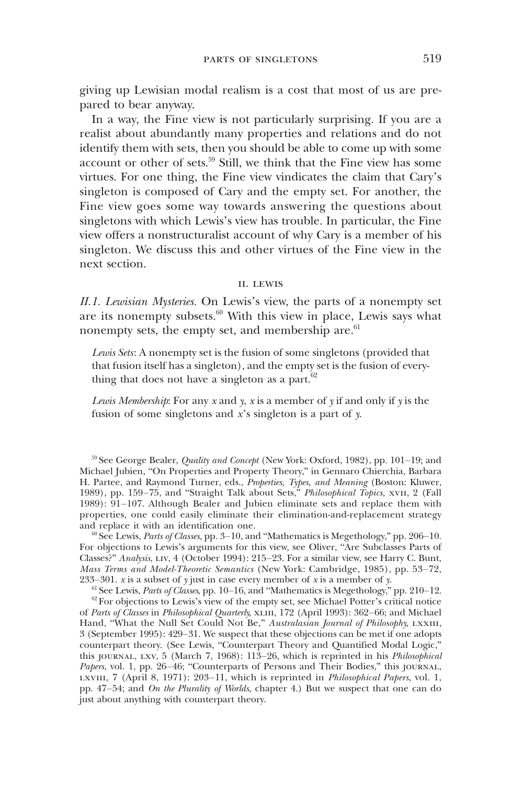giving up Lewisian modal realism is a cost that most of us are prepared to bear anyway.

In a way, the Fine view is not particularly surprising. If you are a realist about abundantly many properties and relations and do not identify them with sets, then you should be able to come up with some account or other of sets.59 Still, we think that the Fine view has some virtues. For one thing, the Fine view vindicates the claim that Cary's singleton is composed of Cary and the empty set. For another, the Fine view goes some way towards answering the questions about singletons with which Lewis's view has trouble. In particular, the Fine view offers a nonstructuralist account of why Cary is a member of his singleton. We discuss this and other virtues of the Fine view in the next section.

#### ii. lewis

II.1. Lewisian Mysteries. On Lewis's view, the parts of a nonempty set are its nonempty subsets. $60$  With this view in place, Lewis says what nonempty sets, the empty set, and membership are. $61$ 

Lewis Sets: A nonempty set is the fusion of some singletons (provided that that fusion itself has a singleton), and the empty set is the fusion of everything that does not have a singleton as a part. $62$ 

Lewis Membership: For any  $x$  and  $y$ ,  $x$  is a member of  $y$  if and only if  $y$  is the fusion of some singletons and x's singleton is a part of y.

 $59$  See George Bealer, *Quality and Concept* (New York: Oxford, 1982), pp. 101–19; and Michael Jubien, "On Properties and Property Theory," in Gennaro Chierchia, Barbara H. Partee, and Raymond Turner, eds., Properties, Types, and Meaning (Boston: Kluwer, 1989), pp. 159-75, and "Straight Talk about Sets," Philosophical Topics, xvII, 2 (Fall 1989): 91–107. Although Bealer and Jubien eliminate sets and replace them with properties, one could easily eliminate their elimination-and-replacement strategy and replace it with an identification one.

 $60$  See Lewis, Parts of Classes, pp. 3–10, and "Mathematics is Megethology," pp. 206–10. For objections to Lewis's arguments for this view, see Oliver, "Are Subclasses Parts of Classes?" Analysis, liv, 4 (October 1994): 215–23. For a similar view, see Harry C. Bunt, Mass Terms and Model-Theoretic Semantics (New York: Cambridge, 1985), pp. 53–72, 233–301. x is a subset of y just in case every member of x is a member of y.

<sup>61</sup> See Lewis, Parts of Classes, pp. 10–16, and "Mathematics is Megethology," pp. 210–12.

 $62$  For objections to Lewis's view of the empty set, see Michael Potter's critical notice of Parts of Classes in Philosophical Quarterly, XLIII, 172 (April 1993): 362-66; and Michael Hand, "What the Null Set Could Not Be," Australasian Journal of Philosophy, LXXIII, 3 (September 1995): 429–31. We suspect that these objections can be met if one adopts counterpart theory. (See Lewis, "Counterpart Theory and Quantified Modal Logic," this journal, lxv, 5 (March 7, 1968): 113–26, which is reprinted in his Philosophical Papers, vol. 1, pp. 26–46; "Counterparts of Persons and Their Bodies," this journal, lxviii, 7 (April 8, 1971): 203–11, which is reprinted in Philosophical Papers, vol. 1, pp. 47–54; and On the Plurality of Worlds, chapter 4.) But we suspect that one can do just about anything with counterpart theory.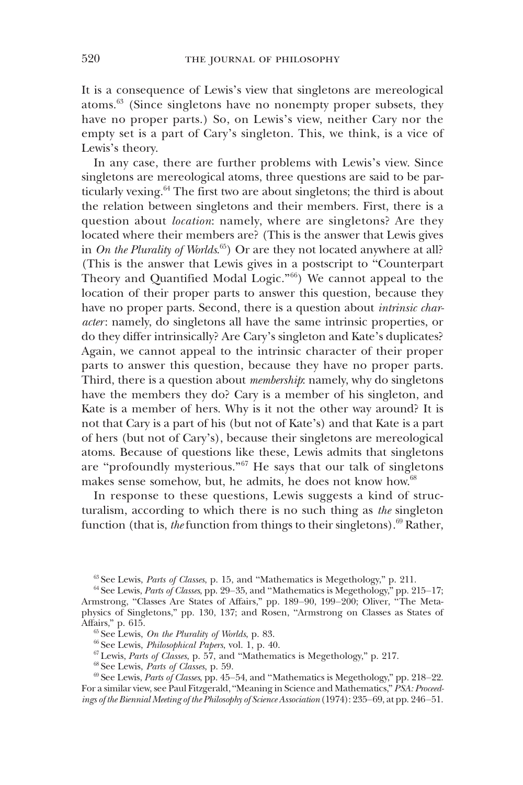It is a consequence of Lewis's view that singletons are mereological atoms.<sup>63</sup> (Since singletons have no nonempty proper subsets, they have no proper parts.) So, on Lewis's view, neither Cary nor the empty set is a part of Cary's singleton. This, we think, is a vice of Lewis's theory.

In any case, there are further problems with Lewis's view. Since singletons are mereological atoms, three questions are said to be particularly vexing. $64$  The first two are about singletons; the third is about the relation between singletons and their members. First, there is a question about *location*: namely, where are singletons? Are they located where their members are? (This is the answer that Lewis gives in *On the Plurality of Worlds*. $^{65}$ ) Or are they not located anywhere at all? (This is the answer that Lewis gives in a postscript to "Counterpart Theory and Quantified Modal Logic."66) We cannot appeal to the location of their proper parts to answer this question, because they have no proper parts. Second, there is a question about *intrinsic char*acter: namely, do singletons all have the same intrinsic properties, or do they differ intrinsically? Are Cary's singleton and Kate's duplicates? Again, we cannot appeal to the intrinsic character of their proper parts to answer this question, because they have no proper parts. Third, there is a question about *membership*: namely, why do singletons have the members they do? Cary is a member of his singleton, and Kate is a member of hers. Why is it not the other way around? It is not that Cary is a part of his (but not of Kate's) and that Kate is a part of hers (but not of Cary's), because their singletons are mereological atoms. Because of questions like these, Lewis admits that singletons are "profoundly mysterious."<sup>67</sup> He says that our talk of singletons makes sense somehow, but, he admits, he does not know how.<sup>68</sup>

In response to these questions, Lewis suggests a kind of structuralism, according to which there is no such thing as the singleton function (that is, the function from things to their singletons).<sup>69</sup> Rather,

 $63$  See Lewis, Parts of Classes, p. 15, and "Mathematics is Megethology," p. 211.

 $65$  See Lewis, On the Plurality of Worlds, p. 83.

 $66$  See Lewis, *Philosophical Papers*, vol. 1, p. 40.

 $67$  Lewis, Parts of Classes, p. 57, and "Mathematics is Megethology," p. 217.

<sup>68</sup> See Lewis, Parts of Classes, p. 59.

 $69$  See Lewis, *Parts of Classes*, pp. 45–54, and "Mathematics is Megethology," pp. 218–22. For a similar view, see Paul Fitzgerald, "Meaning in Science and Mathematics," PSA: Proceedings of the Biennial Meeting of the Philosophy of Science Association(1974): 235–69, at pp. 246–51.

 $^{64}$  See Lewis, *Parts of Classes*, pp. 29–35, and "Mathematics is Megethology," pp. 215–17; Armstrong, "Classes Are States of Affairs," pp. 189–90, 199–200; Oliver, "The Metaphysics of Singletons," pp. 130, 137; and Rosen, "Armstrong on Classes as States of Affairs," p. 615.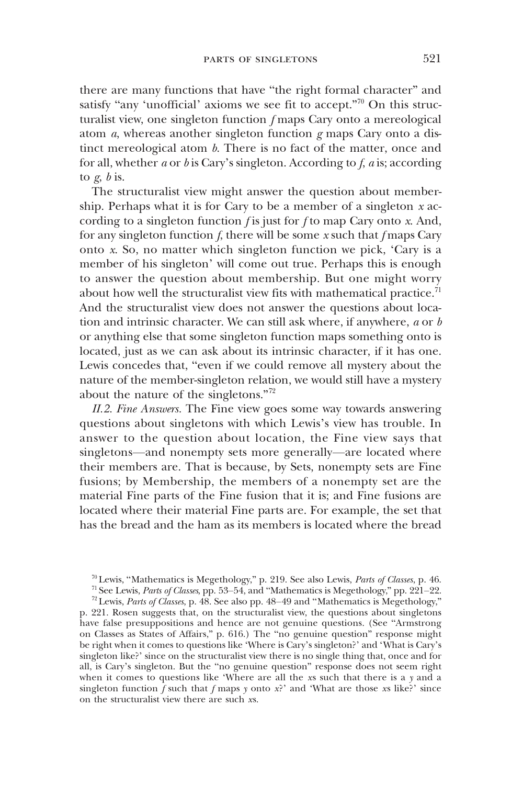there are many functions that have "the right formal character" and satisfy "any 'unofficial' axioms we see fit to accept."<sup>70</sup> On this structuralist view, one singleton function f maps Cary onto a mereological atom  $a$ , whereas another singleton function  $g$  maps Cary onto a distinct mereological atom  $b$ . There is no fact of the matter, once and for all, whether a or b is Cary's singleton. According to f, a is; according to  $\varrho$ ,  $\varrho$  is.

The structuralist view might answer the question about membership. Perhaps what it is for Cary to be a member of a singleton  $x$  according to a singleton function  $f$  is just for  $f$  to map Cary onto  $x$ . And, for any singleton function f, there will be some  $x$  such that f maps Cary onto x. So, no matter which singleton function we pick, 'Cary is a member of his singleton' will come out true. Perhaps this is enough to answer the question about membership. But one might worry about how well the structuralist view fits with mathematical practice.<sup> $\dot{\eta}$ </sup> And the structuralist view does not answer the questions about location and intrinsic character. We can still ask where, if anywhere,  $a$  or  $b$ or anything else that some singleton function maps something onto is located, just as we can ask about its intrinsic character, if it has one. Lewis concedes that, "even if we could remove all mystery about the nature of the member-singleton relation, we would still have a mystery about the nature of the singletons."<sup>72</sup>

II.2. Fine Answers. The Fine view goes some way towards answering questions about singletons with which Lewis's view has trouble. In answer to the question about location, the Fine view says that singletons—and nonempty sets more generally—are located where their members are. That is because, by Sets, nonempty sets are Fine fusions; by Membership, the members of a nonempty set are the material Fine parts of the Fine fusion that it is; and Fine fusions are located where their material Fine parts are. For example, the set that has the bread and the ham as its members is located where the bread

p. 221. Rosen suggests that, on the structuralist view, the questions about singletons have false presuppositions and hence are not genuine questions. (See "Armstrong on Classes as States of Affairs," p. 616.) The "no genuine question" response might be right when it comes to questions like 'Where is Cary's singleton?' and 'What is Cary's singleton like?' since on the structuralist view there is no single thing that, once and for all, is Cary's singleton. But the "no genuine question" response does not seem right when it comes to questions like 'Where are all the xs such that there is a  $\gamma$  and a singleton function  $\bar{f}$  such that  $f$  maps  $y$  onto  $x$ ?' and 'What are those  $x$ s like?' since on the structuralist view there are such xs.

<sup>70</sup> Lewis, "Mathematics is Megethology," p. 219. See also Lewis, Parts of Classes, p. 46.

 $71$  See Lewis, Parts of Classes, pp. 53–54, and "Mathematics is Megethology," pp. 221–22.

 $72$  Lewis, Parts of Classes, p. 48. See also pp. 48–49 and "Mathematics is Megethology,"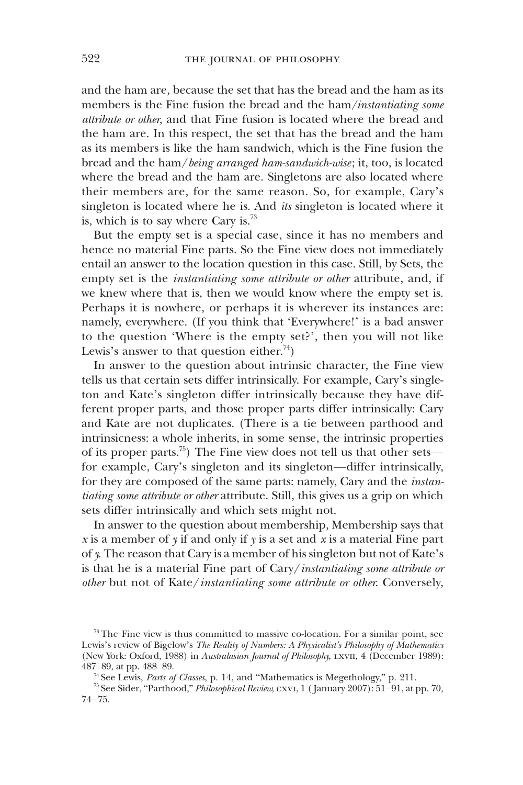and the ham are, because the set that has the bread and the ham as its members is the Fine fusion the bread and the ham/instantiating some attribute or other, and that Fine fusion is located where the bread and the ham are. In this respect, the set that has the bread and the ham as its members is like the ham sandwich, which is the Fine fusion the bread and the ham/being arranged ham-sandwich-wise; it, too, is located where the bread and the ham are. Singletons are also located where their members are, for the same reason. So, for example, Cary's singleton is located where he is. And *its* singleton is located where it is, which is to say where Cary is.<sup>73</sup>

But the empty set is a special case, since it has no members and hence no material Fine parts. So the Fine view does not immediately entail an answer to the location question in this case. Still, by Sets, the empty set is the *instantiating some attribute or other* attribute, and, if we knew where that is, then we would know where the empty set is. Perhaps it is nowhere, or perhaps it is wherever its instances are: namely, everywhere. (If you think that 'Everywhere!' is a bad answer to the question 'Where is the empty set?', then you will not like Lewis's answer to that question either.<sup>74</sup>)

In answer to the question about intrinsic character, the Fine view tells us that certain sets differ intrinsically. For example, Cary's singleton and Kate's singleton differ intrinsically because they have different proper parts, and those proper parts differ intrinsically: Cary and Kate are not duplicates. (There is a tie between parthood and intrinsicness: a whole inherits, in some sense, the intrinsic properties of its proper parts.<sup>75</sup>) The Fine view does not tell us that other sets for example, Cary's singleton and its singleton—differ intrinsically, for they are composed of the same parts: namely, Cary and the instantiating some attribute or other attribute. Still, this gives us a grip on which sets differ intrinsically and which sets might not.

In answer to the question about membership, Membership says that x is a member of y if and only if y is a set and x is a material Fine part of y. The reason that Cary is a member of his singleton but not of Kate's is that he is a material Fine part of Cary/instantiating some attribute or other but not of Kate/instantiating some attribute or other. Conversely,

 $73$  The Fine view is thus committed to massive co-location. For a similar point, see Lewis's review of Bigelow's The Reality of Numbers: A Physicalist's Philosophy of Mathematics (New York: Oxford, 1988) in Australasian Journal of Philosophy, LXVII, 4 (December 1989): 487–89, at pp. 488–89.

<sup>&</sup>lt;sup>74</sup> See Lewis, *Parts of Classes*, p. 14, and "Mathematics is Megethology," p. 211.

<sup>75</sup> See Sider, "Parthood," Philosophical Review, cxvi, 1 ( January 2007): 51–91, at pp. 70, 74–75.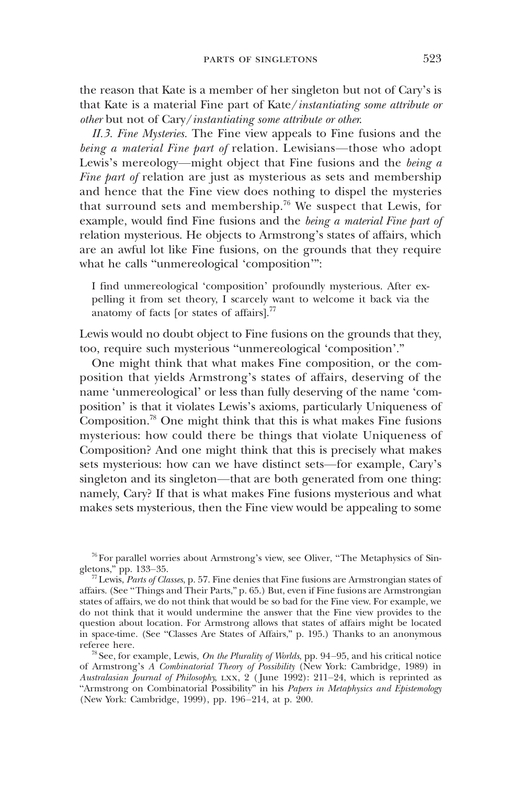the reason that Kate is a member of her singleton but not of Cary's is that Kate is a material Fine part of Kate/instantiating some attribute or other but not of Cary/instantiating some attribute or other.

II.3. Fine Mysteries. The Fine view appeals to Fine fusions and the being a material Fine part of relation. Lewisians—those who adopt Lewis's mereology—might object that Fine fusions and the *being a* Fine part of relation are just as mysterious as sets and membership and hence that the Fine view does nothing to dispel the mysteries that surround sets and membership.76 We suspect that Lewis, for example, would find Fine fusions and the being a material Fine part of relation mysterious. He objects to Armstrong's states of affairs, which are an awful lot like Fine fusions, on the grounds that they require what he calls "unmereological 'composition'":

I find unmereological 'composition' profoundly mysterious. After expelling it from set theory, I scarcely want to welcome it back via the anatomy of facts [or states of affairs]. $^{77}$ 

Lewis would no doubt object to Fine fusions on the grounds that they, too, require such mysterious "unmereological 'composition'."

One might think that what makes Fine composition, or the composition that yields Armstrong's states of affairs, deserving of the name 'unmereological' or less than fully deserving of the name 'composition' is that it violates Lewis's axioms, particularly Uniqueness of Composition.78 One might think that this is what makes Fine fusions mysterious: how could there be things that violate Uniqueness of Composition? And one might think that this is precisely what makes sets mysterious: how can we have distinct sets—for example, Cary's singleton and its singleton—that are both generated from one thing: namely, Cary? If that is what makes Fine fusions mysterious and what makes sets mysterious, then the Fine view would be appealing to some

<sup>76</sup> For parallel worries about Armstrong's view, see Oliver, "The Metaphysics of Singletons," pp. 133–35.

 $77$  Lewis, Parts of Classes, p. 57. Fine denies that Fine fusions are Armstrongian states of affairs. (See "Things and Their Parts," p. 65.) But, even if Fine fusions are Armstrongian states of affairs, we do not think that would be so bad for the Fine view. For example, we do not think that it would undermine the answer that the Fine view provides to the question about location. For Armstrong allows that states of affairs might be located in space-time. (See "Classes Are States of Affairs," p. 195.) Thanks to an anonymous referee here.

<sup>&</sup>lt;sup>78</sup> See, for example, Lewis, *On the Plurality of Worlds*, pp. 94–95, and his critical notice of Armstrong's  $\hat{A}$  Combinatorial Theory of Possibility (New York: Cambridge, 1989) in Australasian Journal of Philosophy, LXX,  $2$  (June 1992): 211–24, which is reprinted as "Armstrong on Combinatorial Possibility" in his Papers in Metaphysics and Epistemology (New York: Cambridge, 1999), pp. 196–214, at p. 200.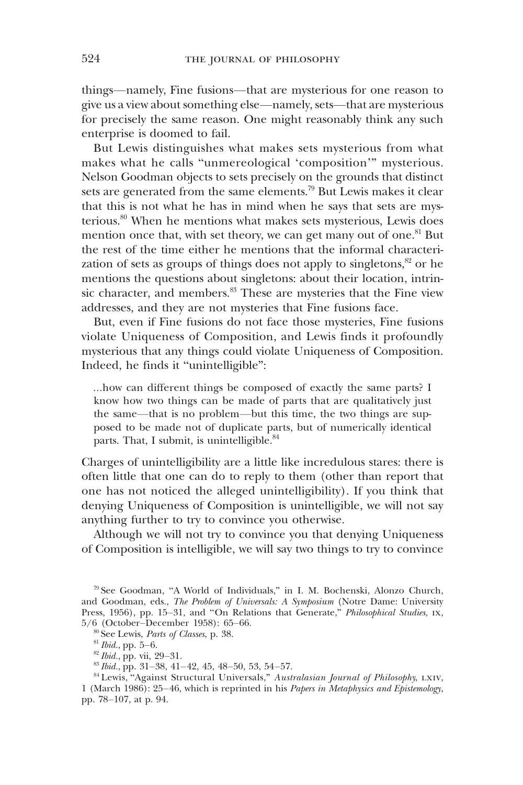things—namely, Fine fusions—that are mysterious for one reason to give us a view about something else—namely, sets—that are mysterious for precisely the same reason. One might reasonably think any such enterprise is doomed to fail.

But Lewis distinguishes what makes sets mysterious from what makes what he calls "unmereological 'composition'" mysterious. Nelson Goodman objects to sets precisely on the grounds that distinct sets are generated from the same elements.<sup>79</sup> But Lewis makes it clear that this is not what he has in mind when he says that sets are mysterious.<sup>80</sup> When he mentions what makes sets mysterious, Lewis does mention once that, with set theory, we can get many out of one.<sup>81</sup> But the rest of the time either he mentions that the informal characterization of sets as groups of things does not apply to singletons,<sup>82</sup> or he mentions the questions about singletons: about their location, intrinsic character, and members.<sup>83</sup> These are mysteries that the Fine view addresses, and they are not mysteries that Fine fusions face.

But, even if Fine fusions do not face those mysteries, Fine fusions violate Uniqueness of Composition, and Lewis finds it profoundly mysterious that any things could violate Uniqueness of Composition. Indeed, he finds it "unintelligible":

…how can different things be composed of exactly the same parts? I know how two things can be made of parts that are qualitatively just the same—that is no problem—but this time, the two things are supposed to be made not of duplicate parts, but of numerically identical parts. That, I submit, is unintelligible.<sup>84</sup>

Charges of unintelligibility are a little like incredulous stares: there is often little that one can do to reply to them (other than report that one has not noticed the alleged unintelligibility). If you think that denying Uniqueness of Composition is unintelligible, we will not say anything further to try to convince you otherwise.

Although we will not try to convince you that denying Uniqueness of Composition is intelligible, we will say two things to try to convince

<sup>79</sup> See Goodman, "A World of Individuals," in I. M. Bochenski, Alonzo Church, and Goodman, eds., The Problem of Universals: A Symposium (Notre Dame: University Press, 1956), pp. 15–31, and "On Relations that Generate," *Philosophical Studies*, ix, 5/6 (October–December 1958): 65–66.

<sup>&</sup>lt;sup>80</sup> See Lewis, Parts of Classes, p. 38.

 $81$  *Ibid.*, pp. 5–6.

 $82$  *Ibid.*, pp. vii, 29–31.

 $83$  *Ibid.*, pp. 31–38, 41–42, 45, 48–50, 53, 54–57.

<sup>&</sup>lt;sup>84</sup> Lewis, "Against Structural Universals," Australasian Journal of Philosophy, LXIV, 1 (March 1986): 25–46, which is reprinted in his Papers in Metaphysics and Epistemology, pp. 78–107, at p. 94.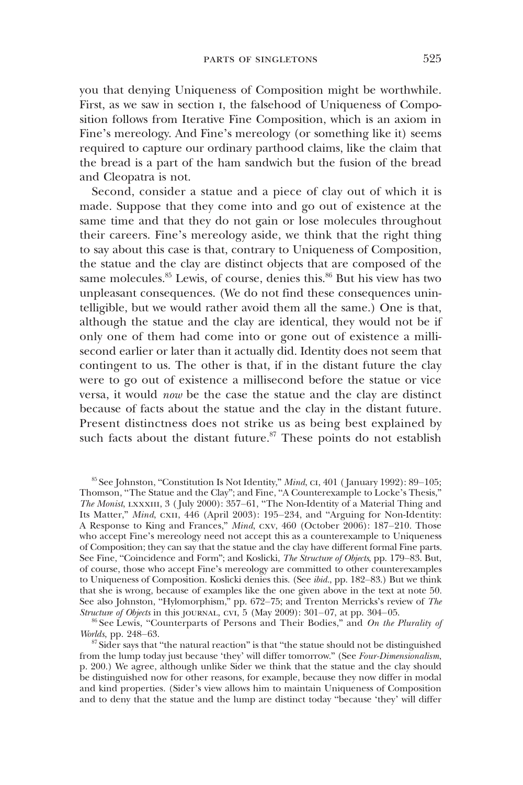you that denying Uniqueness of Composition might be worthwhile. First, as we saw in section i, the falsehood of Uniqueness of Composition follows from Iterative Fine Composition, which is an axiom in Fine's mereology. And Fine's mereology (or something like it) seems required to capture our ordinary parthood claims, like the claim that the bread is a part of the ham sandwich but the fusion of the bread and Cleopatra is not.

Second, consider a statue and a piece of clay out of which it is made. Suppose that they come into and go out of existence at the same time and that they do not gain or lose molecules throughout their careers. Fine's mereology aside, we think that the right thing to say about this case is that, contrary to Uniqueness of Composition, the statue and the clay are distinct objects that are composed of the same molecules. $85$  Lewis, of course, denies this. $86$  But his view has two unpleasant consequences. (We do not find these consequences unintelligible, but we would rather avoid them all the same.) One is that, although the statue and the clay are identical, they would not be if only one of them had come into or gone out of existence a millisecond earlier or later than it actually did. Identity does not seem that contingent to us. The other is that, if in the distant future the clay were to go out of existence a millisecond before the statue or vice versa, it would now be the case the statue and the clay are distinct because of facts about the statue and the clay in the distant future. Present distinctness does not strike us as being best explained by such facts about the distant future. $87$  These points do not establish

<sup>86</sup> See Lewis, "Counterparts of Persons and Their Bodies," and On the Plurality of Worlds, pp. 248–63.

<sup>&</sup>lt;sup>85</sup> See Johnston, "Constitution Is Not Identity," Mind, c1, 401 (January 1992): 89-105; Thomson, "The Statue and the Clay"; and Fine, "A Counterexample to Locke's Thesis," The Monist, LXXXIII, 3 (July 2000): 357–61, "The Non-Identity of a Material Thing and Its Matter," Mind, cxii, 446 (April 2003): 195–234, and "Arguing for Non-Identity: A Response to King and Frances," Mind, cxv, 460 (October 2006): 187–210. Those who accept Fine's mereology need not accept this as a counterexample to Uniqueness of Composition; they can say that the statue and the clay have different formal Fine parts. See Fine, "Coincidence and Form"; and Koslicki, The Structure of Objects, pp. 179–83. But, of course, those who accept Fine's mereology are committed to other counterexamples to Uniqueness of Composition. Koslicki denies this. (See ibid., pp. 182–83.) But we think that she is wrong, because of examples like the one given above in the text at note 50. See also Johnston, "Hylomorphism," pp. 672–75; and Trenton Merricks's review of  $The$ Structure of Objects in this journal, cvi, 5 (May 2009):  $301-07$ , at pp.  $304-05$ .

 $87$  Sider says that "the natural reaction" is that "the statue should not be distinguished from the lump today just because 'they' will differ tomorrow." (See Four-Dimensionalism, p. 200.) We agree, although unlike Sider we think that the statue and the clay should be distinguished now for other reasons, for example, because they now differ in modal and kind properties. (Sider's view allows him to maintain Uniqueness of Composition and to deny that the statue and the lump are distinct today "because 'they' will differ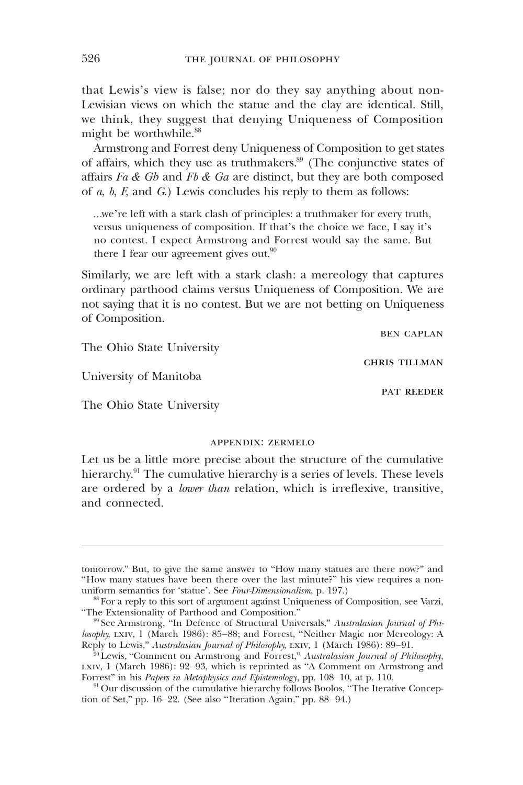that Lewis's view is false; nor do they say anything about non-Lewisian views on which the statue and the clay are identical. Still, we think, they suggest that denying Uniqueness of Composition might be worthwhile.<sup>88</sup>

Armstrong and Forrest deny Uniqueness of Composition to get states of affairs, which they use as truthmakers.<sup>89</sup> (The conjunctive states of affairs  $Fa \& Gb$  and  $Fb \& Ga$  are distinct, but they are both composed of  $a, b, F$ , and  $G$ .) Lewis concludes his reply to them as follows:

…we're left with a stark clash of principles: a truthmaker for every truth, versus uniqueness of composition. If that's the choice we face, I say it's no contest. I expect Armstrong and Forrest would say the same. But there I fear our agreement gives out. $90$ 

Similarly, we are left with a stark clash: a mereology that captures ordinary parthood claims versus Uniqueness of Composition. We are not saying that it is no contest. But we are not betting on Uniqueness of Composition.

ben caplan

pat reeder

chris tillman

The Ohio State University

University of Manitoba

The Ohio State University

### appendix: zermelo

Let us be a little more precise about the structure of the cumulative hierarchy.<sup>91</sup> The cumulative hierarchy is a series of levels. These levels are ordered by a lower than relation, which is irreflexive, transitive, and connected.

tomorrow." But, to give the same answer to "How many statues are there now?" and "How many statues have been there over the last minute?" his view requires a nonuniform semantics for 'statue'. See Four-Dimensionalism, p. 197.)

<sup>88</sup> For a reply to this sort of argument against Uniqueness of Composition, see Varzi, "The Extensionality of Parthood and Composition."

<sup>&</sup>lt;sup>89</sup> See Armstrong, "In Defence of Structural Universals," Australasian Journal of Philosophy, LXIV, 1 (March 1986): 85-88; and Forrest, "Neither Magic nor Mereology: A Reply to Lewis," Australasian Journal of Philosophy, LXIV, 1 (March 1986): 89-91.

 $90$  Lewis, "Comment on Armstrong and Forrest," Australasian Journal of Philosophy, lxiv, 1 (March 1986): 92–93, which is reprinted as "A Comment on Armstrong and Forrest" in his Papers in Metaphysics and Epistemology, pp. 108–10, at p. 110.

<sup>&</sup>lt;sup>91</sup> Our discussion of the cumulative hierarchy follows Boolos, "The Iterative Conception of Set," pp. 16–22. (See also "Iteration Again," pp. 88–94.)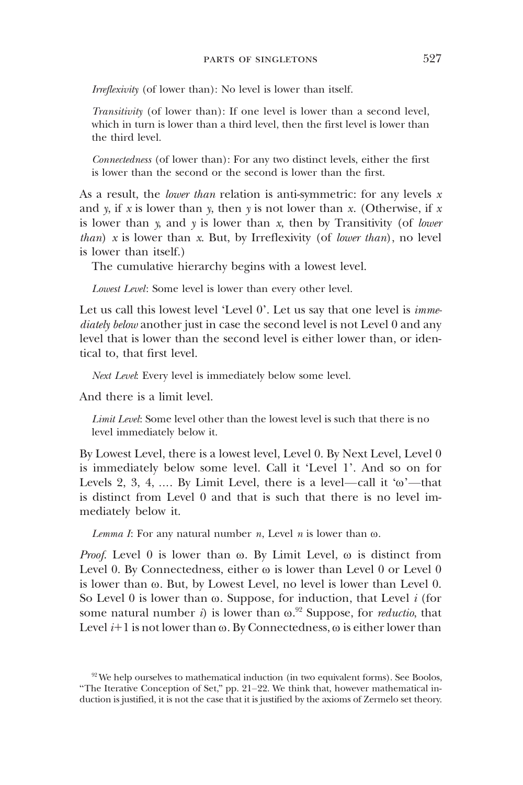Irreflexivity (of lower than): No level is lower than itself.

Transitivity (of lower than): If one level is lower than a second level, which in turn is lower than a third level, then the first level is lower than the third level.

Connectedness (of lower than): For any two distinct levels, either the first is lower than the second or the second is lower than the first.

As a result, the *lower than* relation is anti-symmetric: for any levels  $x$ and y, if x is lower than y, then y is not lower than x. (Otherwise, if x is lower than  $y$ , and  $y$  is lower than  $x$ , then by Transitivity (of lower *than*) x is lower than x. But, by Irreflexivity (of *lower than*), no level is lower than itself.)

The cumulative hierarchy begins with a lowest level.

Lowest Level: Some level is lower than every other level.

Let us call this lowest level 'Level 0'. Let us say that one level is immediately below another just in case the second level is not Level 0 and any level that is lower than the second level is either lower than, or identical to, that first level.

Next Level: Every level is immediately below some level.

And there is a limit level.

Limit Level: Some level other than the lowest level is such that there is no level immediately below it.

By Lowest Level, there is a lowest level, Level 0. By Next Level, Level 0 is immediately below some level. Call it 'Level 1'. And so on for Levels 2, 3, 4, .... By Limit Level, there is a level—call it ' $\omega$ '—that is distinct from Level 0 and that is such that there is no level immediately below it.

Lemma I: For any natural number n, Level n is lower than  $\omega$ .

*Proof.* Level  $0$  is lower than  $\omega$ . By Limit Level,  $\omega$  is distinct from Level 0. By Connectedness, either  $\omega$  is lower than Level 0 or Level 0 is lower than  $\omega$ . But, by Lowest Level, no level is lower than Level 0. So Level 0 is lower than  $\omega$ . Suppose, for induction, that Level *i* (for some natural number *i*) is lower than  $\omega$ .<sup>92</sup> Suppose, for *reductio*, that Level  $i+1$  is not lower than  $\omega$ . By Connectedness,  $\omega$  is either lower than

 $92$  We help ourselves to mathematical induction (in two equivalent forms). See Boolos, "The Iterative Conception of Set," pp. 21–22. We think that, however mathematical induction is justified, it is not the case that it is justified by the axioms of Zermelo set theory.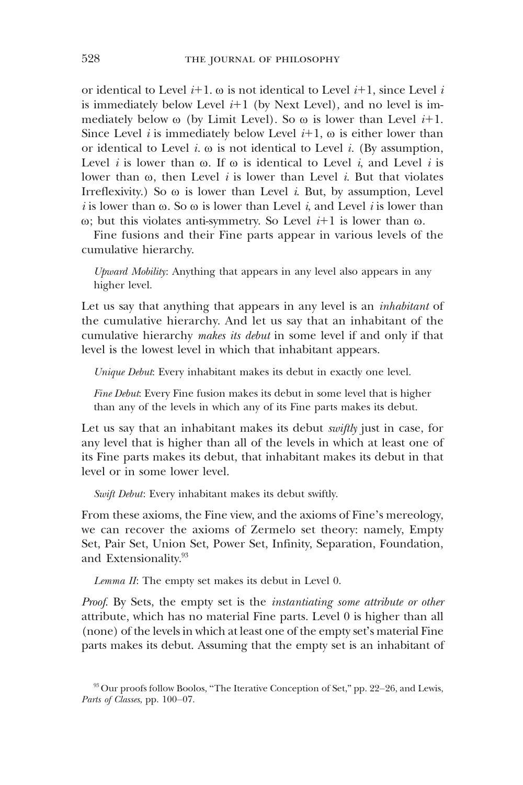or identical to Level  $i+1$ .  $\omega$  is not identical to Level  $i+1$ , since Level i is immediately below Level  $i+1$  (by Next Level), and no level is immediately below  $\omega$  (by Limit Level). So  $\omega$  is lower than Level *i*+1. Since Level *i* is immediately below Level  $i+1$ ,  $\omega$  is either lower than or identical to Level i.  $\omega$  is not identical to Level i. (By assumption, Level *i* is lower than  $\omega$ . If  $\omega$  is identical to Level *i*, and Level *i* is lower than  $\omega$ , then Level *i* is lower than Level *i*. But that violates Irreflexivity.) So  $\omega$  is lower than Level *i*. But, by assumption, Level i is lower than  $\omega$ . So  $\omega$  is lower than Level i, and Level i is lower than  $\omega$ ; but this violates anti-symmetry. So Level  $i+1$  is lower than  $\omega$ .

Fine fusions and their Fine parts appear in various levels of the cumulative hierarchy.

Upward Mobility: Anything that appears in any level also appears in any higher level.

Let us say that anything that appears in any level is an *inhabitant* of the cumulative hierarchy. And let us say that an inhabitant of the cumulative hierarchy makes its debut in some level if and only if that level is the lowest level in which that inhabitant appears.

Unique Debut: Every inhabitant makes its debut in exactly one level.

Fine Debut: Every Fine fusion makes its debut in some level that is higher than any of the levels in which any of its Fine parts makes its debut.

Let us say that an inhabitant makes its debut *swiftly* just in case, for any level that is higher than all of the levels in which at least one of its Fine parts makes its debut, that inhabitant makes its debut in that level or in some lower level.

Swift Debut: Every inhabitant makes its debut swiftly.

From these axioms, the Fine view, and the axioms of Fine's mereology, we can recover the axioms of Zermelo set theory: namely, Empty Set, Pair Set, Union Set, Power Set, Infinity, Separation, Foundation, and Extensionality.<sup>93</sup>

Lemma II: The empty set makes its debut in Level 0.

Proof. By Sets, the empty set is the *instantiating some attribute or other* attribute, which has no material Fine parts. Level 0 is higher than all (none) of the levels in which at least one of the empty set's material Fine parts makes its debut. Assuming that the empty set is an inhabitant of

<sup>93</sup> Our proofs follow Boolos, "The Iterative Conception of Set," pp. 22–26, and Lewis, Parts of Classes, pp. 100–07.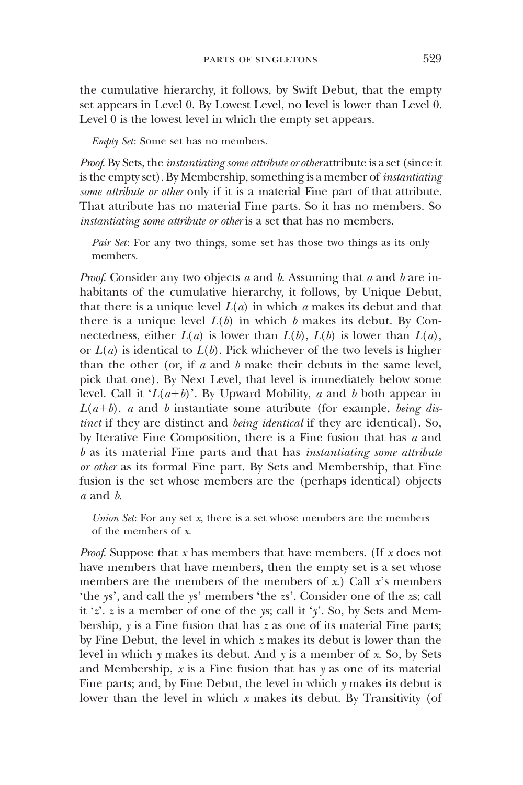the cumulative hierarchy, it follows, by Swift Debut, that the empty set appears in Level 0. By Lowest Level, no level is lower than Level 0. Level 0 is the lowest level in which the empty set appears.

Empty Set: Some set has no members.

Proof. By Sets, the *instantiating some attribute or otherattribute* is a set (since it is the empty set). By Membership, something is a member of *instantiating* some attribute or other only if it is a material Fine part of that attribute. That attribute has no material Fine parts. So it has no members. So instantiating some attribute or other is a set that has no members.

Pair Set: For any two things, some set has those two things as its only members.

*Proof.* Consider any two objects a and b. Assuming that a and b are inhabitants of the cumulative hierarchy, it follows, by Unique Debut, that there is a unique level  $L(a)$  in which a makes its debut and that there is a unique level  $L(b)$  in which b makes its debut. By Connectedness, either  $L(a)$  is lower than  $L(b)$ ,  $L(b)$  is lower than  $L(a)$ , or  $L(a)$  is identical to  $L(b)$ . Pick whichever of the two levels is higher than the other (or, if  $a$  and  $b$  make their debuts in the same level, pick that one). By Next Level, that level is immediately below some level. Call it ' $L(a+b)$ '. By Upward Mobility, a and b both appear in  $L(a+b)$ . a and b instantiate some attribute (for example, being distinct if they are distinct and being identical if they are identical). So, by Iterative Fine Composition, there is a Fine fusion that has  $a$  and b as its material Fine parts and that has instantiating some attribute or other as its formal Fine part. By Sets and Membership, that Fine fusion is the set whose members are the (perhaps identical) objects a and b.

Union Set: For any set  $x$ , there is a set whose members are the members of the members of x.

*Proof.* Suppose that x has members that have members. (If x does not have members that have members, then the empty set is a set whose members are the members of the members of x.) Call  $x$ 's members 'the ys', and call the ys' members 'the zs'. Consider one of the zs; call it 'z'. z is a member of one of the ys; call it 'y'. So, by Sets and Membership,  $y$  is a Fine fusion that has  $z$  as one of its material Fine parts; by Fine Debut, the level in which z makes its debut is lower than the level in which  $y$  makes its debut. And  $y$  is a member of  $x$ . So, by Sets and Membership,  $x$  is a Fine fusion that has  $y$  as one of its material Fine parts; and, by Fine Debut, the level in which y makes its debut is lower than the level in which  $x$  makes its debut. By Transitivity (of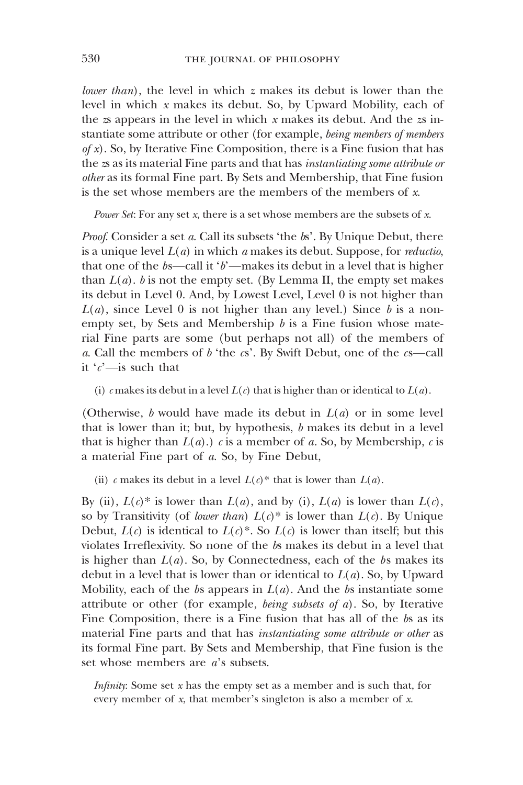lower than), the level in which  $z$  makes its debut is lower than the level in which x makes its debut. So, by Upward Mobility, each of the  $z$ s appears in the level in which  $x$  makes its debut. And the  $z$ s instantiate some attribute or other (for example, being members of members  $of x$ ). So, by Iterative Fine Composition, there is a Fine fusion that has the zs as its material Fine parts and that has instantiating some attribute or other as its formal Fine part. By Sets and Membership, that Fine fusion is the set whose members are the members of the members of  $x$ .

Power Set: For any set  $x$ , there is a set whose members are the subsets of  $x$ .

Proof. Consider a set a. Call its subsets 'the  $b$ s'. By Unique Debut, there is a unique level  $L(a)$  in which a makes its debut. Suppose, for *reductio*, that one of the  $bs$ —call it ' $b$ '—makes its debut in a level that is higher than  $L(a)$ . b is not the empty set. (By Lemma II, the empty set makes its debut in Level 0. And, by Lowest Level, Level 0 is not higher than  $L(a)$ , since Level 0 is not higher than any level.) Since b is a nonempty set, by Sets and Membership  $b$  is a Fine fusion whose material Fine parts are some (but perhaps not all) of the members of a. Call the members of  $b$  'the  $cs'$ . By Swift Debut, one of the  $cs$ -call it  $c'$ —is such that

(i) c makes its debut in a level  $L(c)$  that is higher than or identical to  $L(a)$ .

(Otherwise, b would have made its debut in  $L(a)$  or in some level that is lower than it; but, by hypothesis,  $b$  makes its debut in a level that is higher than  $L(a)$ .) c is a member of a. So, by Membership, c is a material Fine part of a. So, by Fine Debut,

(ii) c makes its debut in a level  $L(c)^*$  that is lower than  $L(a)$ .

By (ii),  $L(c)^*$  is lower than  $L(a)$ , and by (i),  $L(a)$  is lower than  $L(c)$ , so by Transitivity (of lower than)  $L(c)^*$  is lower than  $L(c)$ . By Unique Debut,  $L(c)$  is identical to  $L(c)^*$ . So  $L(c)$  is lower than itself; but this violates Irreflexivity. So none of the bs makes its debut in a level that is higher than  $L(a)$ . So, by Connectedness, each of the bs makes its debut in a level that is lower than or identical to  $L(a)$ . So, by Upward Mobility, each of the bs appears in  $L(a)$ . And the bs instantiate some attribute or other (for example, *being subsets of a*). So, by Iterative Fine Composition, there is a Fine fusion that has all of the bs as its material Fine parts and that has instantiating some attribute or other as its formal Fine part. By Sets and Membership, that Fine fusion is the set whose members are  $a$ 's subsets.

*Infinity*: Some set  $x$  has the empty set as a member and is such that, for every member of x, that member's singleton is also a member of x.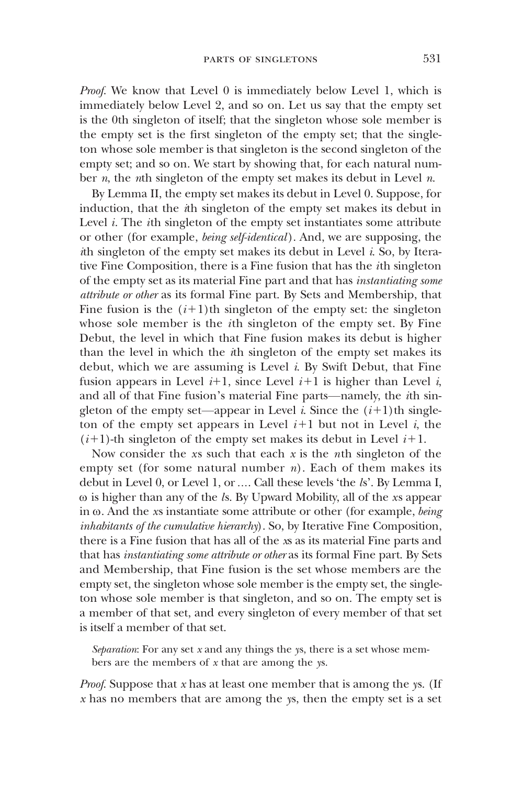Proof. We know that Level 0 is immediately below Level 1, which is immediately below Level 2, and so on. Let us say that the empty set is the 0th singleton of itself; that the singleton whose sole member is the empty set is the first singleton of the empty set; that the singleton whose sole member is that singleton is the second singleton of the empty set; and so on. We start by showing that, for each natural number  $n$ , the nth singleton of the empty set makes its debut in Level  $n$ .

By Lemma II, the empty set makes its debut in Level 0. Suppose, for induction, that the ith singleton of the empty set makes its debut in Level  $i$ . The  $i$ th singleton of the empty set instantiates some attribute or other (for example, being self-identical). And, we are supposing, the ith singleton of the empty set makes its debut in Level i. So, by Iterative Fine Composition, there is a Fine fusion that has the ith singleton of the empty set as its material Fine part and that has instantiating some attribute or other as its formal Fine part. By Sets and Membership, that Fine fusion is the  $(i+1)$ th singleton of the empty set: the singleton whose sole member is the ith singleton of the empty set. By Fine Debut, the level in which that Fine fusion makes its debut is higher than the level in which the ith singleton of the empty set makes its debut, which we are assuming is Level  $i$ . By Swift Debut, that Fine fusion appears in Level  $i+1$ , since Level  $i+1$  is higher than Level  $i$ , and all of that Fine fusion's material Fine parts—namely, the ith singleton of the empty set—appear in Level *i*. Since the  $(i+1)$ th singleton of the empty set appears in Level  $i+1$  but not in Level i, the  $(i+1)$ -th singleton of the empty set makes its debut in Level  $i+1$ .

Now consider the xs such that each  $x$  is the *n*th singleton of the empty set (for some natural number  $n$ ). Each of them makes its debut in Level 0, or Level 1, or …. Call these levels 'the ls'. By Lemma I,  $\omega$  is higher than any of the *ls*. By Upward Mobility, all of the *xs* appear in  $\omega$ . And the xs instantiate some attribute or other (for example, being inhabitants of the cumulative hierarchy). So, by Iterative Fine Composition, there is a Fine fusion that has all of the xs as its material Fine parts and that has instantiating some attribute or other as its formal Fine part. By Sets and Membership, that Fine fusion is the set whose members are the empty set, the singleton whose sole member is the empty set, the singleton whose sole member is that singleton, and so on. The empty set is a member of that set, and every singleton of every member of that set is itself a member of that set.

Separation: For any set  $x$  and any things the ys, there is a set whose members are the members of  $x$  that are among the ys.

Proof. Suppose that  $x$  has at least one member that is among the ys. (If  $x$  has no members that are among the ys, then the empty set is a set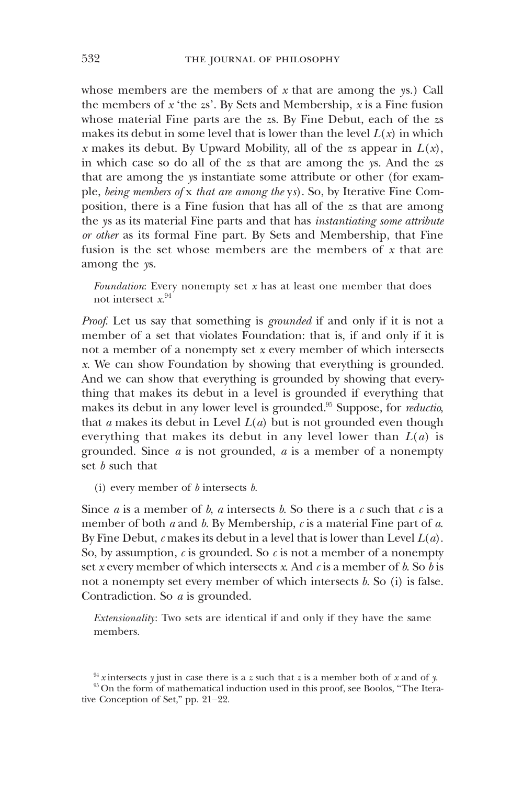whose members are the members of  $x$  that are among the ys.) Call the members of  $x$  'the  $zs'$ . By Sets and Membership,  $x$  is a Fine fusion whose material Fine parts are the zs. By Fine Debut, each of the zs makes its debut in some level that is lower than the level  $L(x)$  in which x makes its debut. By Upward Mobility, all of the zs appear in  $L(x)$ , in which case so do all of the zs that are among the ys. And the zs that are among the ys instantiate some attribute or other (for example, being members of x that are among the ys). So, by Iterative Fine Composition, there is a Fine fusion that has all of the zs that are among the ys as its material Fine parts and that has instantiating some attribute or other as its formal Fine part. By Sets and Membership, that Fine fusion is the set whose members are the members of x that are among the ys.

Foundation: Every nonempty set  $x$  has at least one member that does not intersect x. 94

Proof. Let us say that something is *grounded* if and only if it is not a member of a set that violates Foundation: that is, if and only if it is not a member of a nonempty set  $x$  every member of which intersects x. We can show Foundation by showing that everything is grounded. And we can show that everything is grounded by showing that everything that makes its debut in a level is grounded if everything that makes its debut in any lower level is grounded.<sup>95</sup> Suppose, for *reductio*, that a makes its debut in Level  $L(a)$  but is not grounded even though everything that makes its debut in any level lower than  $L(a)$  is grounded. Since  $a$  is not grounded,  $a$  is a member of a nonempty set *b* such that

(i) every member of  $b$  intersects  $b$ .

Since *a* is a member of *b*, *a* intersects *b*. So there is a *c* such that *c* is a member of both  $a$  and  $b$ . By Membership,  $c$  is a material Fine part of  $a$ . By Fine Debut,  $c$  makes its debut in a level that is lower than Level  $L(a)$ . So, by assumption,  $c$  is grounded. So  $c$  is not a member of a nonempty set x every member of which intersects x. And  $c$  is a member of  $b$ . So  $b$  is not a nonempty set every member of which intersects  $b$ . So (i) is false. Contradiction. So a is grounded.

Extensionality: Two sets are identical if and only if they have the same members.

 $94$  x intersects y just in case there is a z such that z is a member both of x and of y.

<sup>&</sup>lt;sup>95</sup> On the form of mathematical induction used in this proof, see Boolos, "The Iterative Conception of Set," pp. 21–22.